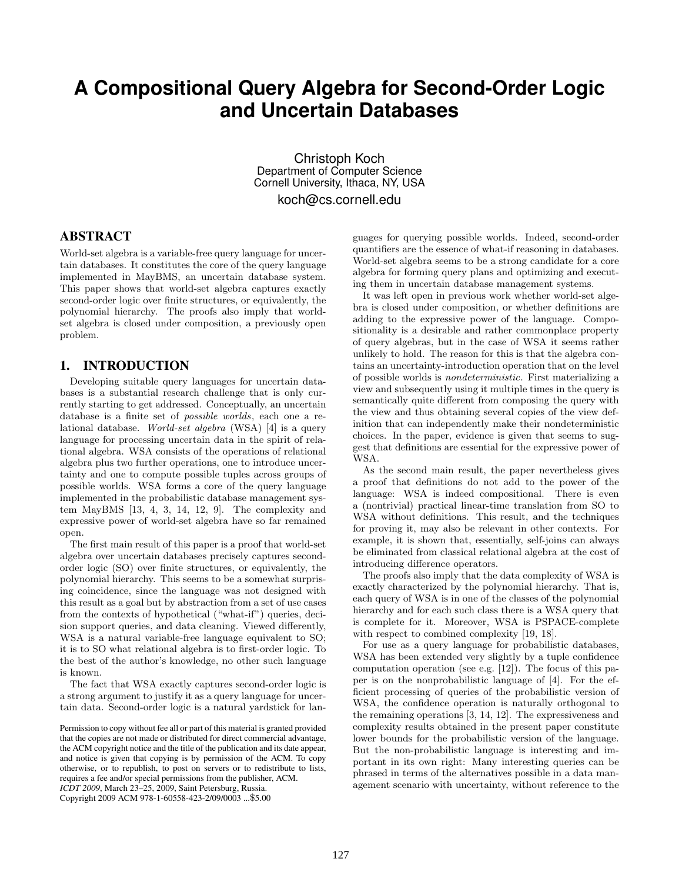# **A Compositional Query Algebra for Second-Order Logic and Uncertain Databases**

Christoph Koch Department of Computer Science Cornell University, Ithaca, NY, USA koch@cs.cornell.edu

# ABSTRACT

World-set algebra is a variable-free query language for uncertain databases. It constitutes the core of the query language implemented in MayBMS, an uncertain database system. This paper shows that world-set algebra captures exactly second-order logic over finite structures, or equivalently, the polynomial hierarchy. The proofs also imply that worldset algebra is closed under composition, a previously open problem.

# 1. INTRODUCTION

Developing suitable query languages for uncertain databases is a substantial research challenge that is only currently starting to get addressed. Conceptually, an uncertain database is a finite set of possible worlds, each one a relational database. World-set algebra (WSA) [4] is a query language for processing uncertain data in the spirit of relational algebra. WSA consists of the operations of relational algebra plus two further operations, one to introduce uncertainty and one to compute possible tuples across groups of possible worlds. WSA forms a core of the query language implemented in the probabilistic database management system MayBMS [13, 4, 3, 14, 12, 9]. The complexity and expressive power of world-set algebra have so far remained open.

The first main result of this paper is a proof that world-set algebra over uncertain databases precisely captures secondorder logic (SO) over finite structures, or equivalently, the polynomial hierarchy. This seems to be a somewhat surprising coincidence, since the language was not designed with this result as a goal but by abstraction from a set of use cases from the contexts of hypothetical ("what-if") queries, decision support queries, and data cleaning. Viewed differently, WSA is a natural variable-free language equivalent to SO; it is to SO what relational algebra is to first-order logic. To the best of the author's knowledge, no other such language is known.

The fact that WSA exactly captures second-order logic is a strong argument to justify it as a query language for uncertain data. Second-order logic is a natural yardstick for lan-

Copyright 2009 ACM 978-1-60558-423-2/09/0003 ...\$5.00

guages for querying possible worlds. Indeed, second-order quantifiers are the essence of what-if reasoning in databases. World-set algebra seems to be a strong candidate for a core algebra for forming query plans and optimizing and executing them in uncertain database management systems.

It was left open in previous work whether world-set algebra is closed under composition, or whether definitions are adding to the expressive power of the language. Compositionality is a desirable and rather commonplace property of query algebras, but in the case of WSA it seems rather unlikely to hold. The reason for this is that the algebra contains an uncertainty-introduction operation that on the level of possible worlds is nondeterministic. First materializing a view and subsequently using it multiple times in the query is semantically quite different from composing the query with the view and thus obtaining several copies of the view definition that can independently make their nondeterministic choices. In the paper, evidence is given that seems to suggest that definitions are essential for the expressive power of WSA.

As the second main result, the paper nevertheless gives a proof that definitions do not add to the power of the language: WSA is indeed compositional. There is even a (nontrivial) practical linear-time translation from SO to WSA without definitions. This result, and the techniques for proving it, may also be relevant in other contexts. For example, it is shown that, essentially, self-joins can always be eliminated from classical relational algebra at the cost of introducing difference operators.

The proofs also imply that the data complexity of WSA is exactly characterized by the polynomial hierarchy. That is, each query of WSA is in one of the classes of the polynomial hierarchy and for each such class there is a WSA query that is complete for it. Moreover, WSA is PSPACE-complete with respect to combined complexity [19, 18].

For use as a query language for probabilistic databases, WSA has been extended very slightly by a tuple confidence computation operation (see e.g. [12]). The focus of this paper is on the nonprobabilistic language of [4]. For the efficient processing of queries of the probabilistic version of WSA, the confidence operation is naturally orthogonal to the remaining operations [3, 14, 12]. The expressiveness and complexity results obtained in the present paper constitute lower bounds for the probabilistic version of the language. But the non-probabilistic language is interesting and important in its own right: Many interesting queries can be phrased in terms of the alternatives possible in a data management scenario with uncertainty, without reference to the

Permission to copy without fee all or part of this material is granted provided that the copies are not made or distributed for direct commercial advantage, the ACM copyright notice and the title of the publication and its date appear, and notice is given that copying is by permission of the ACM. To copy otherwise, or to republish, to post on servers or to redistribute to lists, requires a fee and/or special permissions from the publisher, ACM. *ICDT 2009*, March 23–25, 2009, Saint Petersburg, Russia.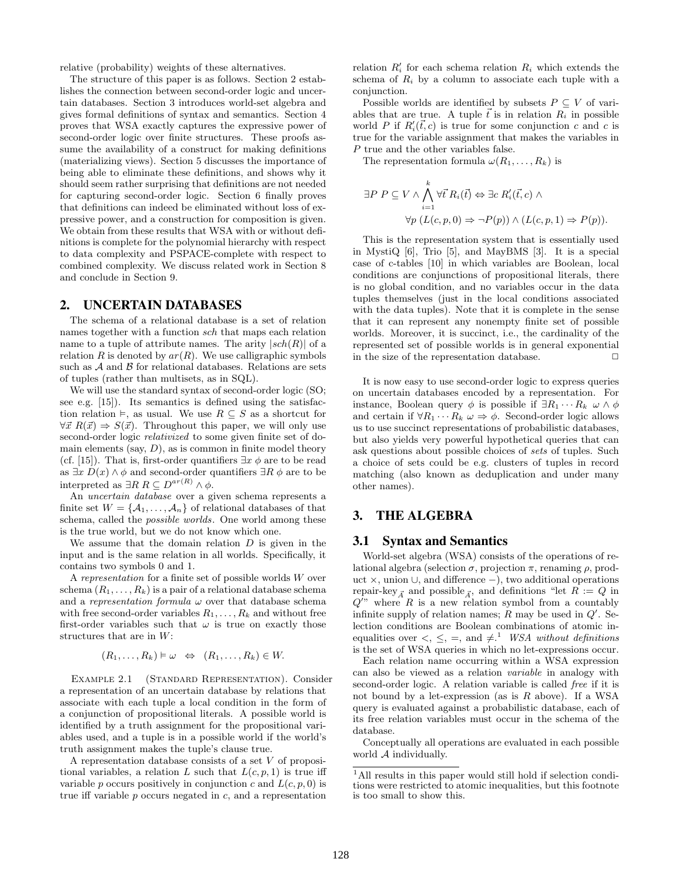relative (probability) weights of these alternatives.

The structure of this paper is as follows. Section 2 establishes the connection between second-order logic and uncertain databases. Section 3 introduces world-set algebra and gives formal definitions of syntax and semantics. Section 4 proves that WSA exactly captures the expressive power of second-order logic over finite structures. These proofs assume the availability of a construct for making definitions (materializing views). Section 5 discusses the importance of being able to eliminate these definitions, and shows why it should seem rather surprising that definitions are not needed for capturing second-order logic. Section 6 finally proves that definitions can indeed be eliminated without loss of expressive power, and a construction for composition is given. We obtain from these results that WSA with or without definitions is complete for the polynomial hierarchy with respect to data complexity and PSPACE-complete with respect to combined complexity. We discuss related work in Section 8 and conclude in Section 9.

### 2. UNCERTAIN DATABASES

The schema of a relational database is a set of relation names together with a function sch that maps each relation name to a tuple of attribute names. The arity  $|sch(R)|$  of a relation R is denoted by  $ar(R)$ . We use calligraphic symbols such as  $A$  and  $B$  for relational databases. Relations are sets of tuples (rather than multisets, as in SQL).

We will use the standard syntax of second-order logic (SO; see e.g. [15]). Its semantics is defined using the satisfaction relation  $\vDash$ , as usual. We use  $R \subseteq S$  as a shortcut for  $\forall \vec{x} \; R(\vec{x}) \Rightarrow S(\vec{x})$ . Throughout this paper, we will only use second-order logic relativized to some given finite set of domain elements (say,  $D$ ), as is common in finite model theory (cf. [15]). That is, first-order quantifiers  $\exists x \phi$  are to be read as  $\exists x D(x) \land \phi$  and second-order quantifiers  $\exists R \phi$  are to be interpreted as  $\exists R \, R \subseteq D^{ar(R)} \wedge \phi$ .

An uncertain database over a given schema represents a finite set  $W = \{A_1, \ldots, A_n\}$  of relational databases of that schema, called the *possible worlds*. One world among these is the true world, but we do not know which one.

We assume that the domain relation  $D$  is given in the input and is the same relation in all worlds. Specifically, it contains two symbols 0 and 1.

A representation for a finite set of possible worlds W over schema  $(R_1, \ldots, R_k)$  is a pair of a relational database schema and a representation formula  $\omega$  over that database schema with free second-order variables  $R_1, \ldots, R_k$  and without free first-order variables such that  $\omega$  is true on exactly those structures that are in W:

$$
(R_1,\ldots,R_k)\vDash\omega\;\Leftrightarrow\;(R_1,\ldots,R_k)\in W.
$$

Example 2.1 (Standard Representation). Consider a representation of an uncertain database by relations that associate with each tuple a local condition in the form of a conjunction of propositional literals. A possible world is identified by a truth assignment for the propositional variables used, and a tuple is in a possible world if the world's truth assignment makes the tuple's clause true.

A representation database consists of a set V of propositional variables, a relation L such that  $L(c, p, 1)$  is true iff variable p occurs positively in conjunction c and  $L(c, p, 0)$  is true iff variable  $p$  occurs negated in  $c$ , and a representation

relation  $R'_i$  for each schema relation  $R_i$  which extends the schema of  $R_i$  by a column to associate each tuple with a conjunction.

Possible worlds are identified by subsets  $P \subseteq V$  of variables that are true. A tuple  $\vec{t}$  is in relation  $R_i$  in possible world P if  $R_i'(\vec{t}, c)$  is true for some conjunction c and c is true for the variable assignment that makes the variables in P true and the other variables false.

The representation formula  $\omega(R_1,\ldots,R_k)$  is

$$
\exists P \ P \subseteq V \land \bigwedge_{i=1}^{k} \forall \vec{t} \ R_i(\vec{t}) \Leftrightarrow \exists c \ R'_i(\vec{t}, c) \land \forall p \ (L(c, p, 0) \Rightarrow \neg P(p)) \land (L(c, p, 1) \Rightarrow P(p)).
$$

This is the representation system that is essentially used in MystiQ [6], Trio [5], and MayBMS [3]. It is a special case of c-tables [10] in which variables are Boolean, local conditions are conjunctions of propositional literals, there is no global condition, and no variables occur in the data tuples themselves (just in the local conditions associated with the data tuples). Note that it is complete in the sense that it can represent any nonempty finite set of possible worlds. Moreover, it is succinct, i.e., the cardinality of the represented set of possible worlds is in general exponential in the size of the representation database.  $\Box$ 

It is now easy to use second-order logic to express queries on uncertain databases encoded by a representation. For instance, Boolean query  $\phi$  is possible if  $\exists R_1 \cdots R_k \ \omega \wedge \phi$ and certain if  $\forall R_1 \cdots R_k \omega \Rightarrow \phi$ . Second-order logic allows us to use succinct representations of probabilistic databases, but also yields very powerful hypothetical queries that can ask questions about possible choices of sets of tuples. Such a choice of sets could be e.g. clusters of tuples in record matching (also known as deduplication and under many other names).

# 3. THE ALGEBRA

#### 3.1 Syntax and Semantics

World-set algebra (WSA) consists of the operations of relational algebra (selection  $\sigma$ , projection  $\pi$ , renaming  $\rho$ , product ×, union ∪, and difference −), two additional operations repair-key<sub> $\vec{A}$ </sub> and possible<sub> $\vec{A}$ </sub>, and definitions "let  $R := Q$  in  $Q''$  where R is a new relation symbol from a countably infinite supply of relation names;  $R$  may be used in  $Q'$ . Selection conditions are Boolean combinations of atomic inequalities over  $\lt, \leq$ ,  $\lt$ ,  $\lt$ , and  $\neq$ .<sup>1</sup> WSA without definitions is the set of WSA queries in which no let-expressions occur.

Each relation name occurring within a WSA expression can also be viewed as a relation variable in analogy with second-order logic. A relation variable is called free if it is not bound by a let-expression (as is  $R$  above). If a WSA query is evaluated against a probabilistic database, each of its free relation variables must occur in the schema of the database.

Conceptually all operations are evaluated in each possible world A individually.

 $1$ All results in this paper would still hold if selection conditions were restricted to atomic inequalities, but this footnote is too small to show this.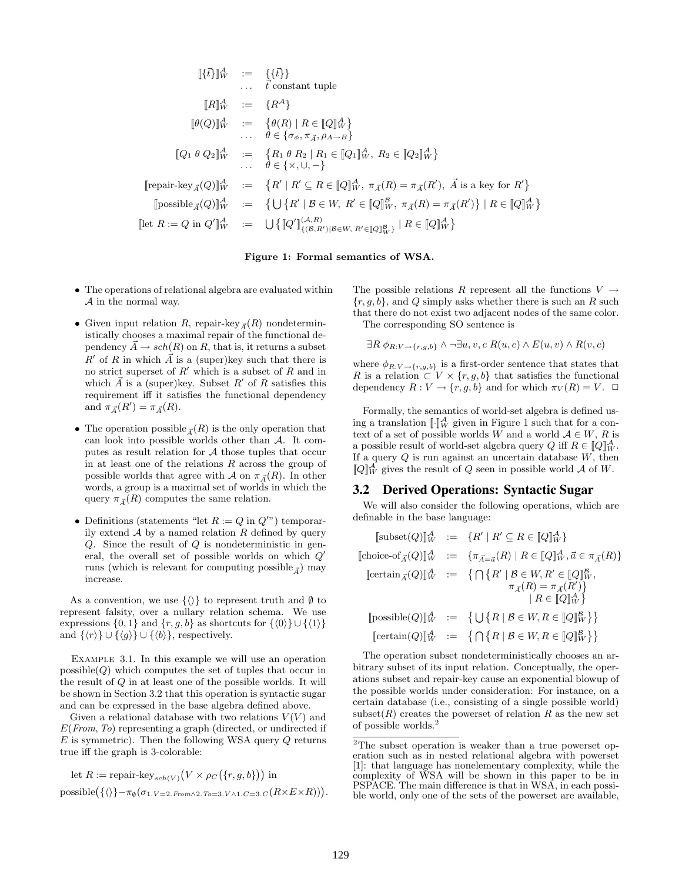$$
\begin{array}{rcl}\n\left[\{\vec{t}\}\right]_{W}^{A} & := & \left\{\{\vec{t}\}\right\} \\
& \dots & \vec{t} \text{ constant tuple} \\
\left[R\right]_{W}^{A} & := & \left\{R^{A}\right\} \\
\left[\theta(Q)\right]_{W}^{A} & := & \left\{\theta(R) \mid R \in [Q]_{W}^{A}\right\} \\
& \dots & \theta \in \{\sigma_{\phi}, \pi_{\vec{A}}, \rho_{A \to B}\} \\
\left[\mathbb{Q}_{1} \theta \ Q_{2}\right]_{W}^{A} & := & \left\{R_{1} \theta \ R_{2} \mid R_{1} \in [Q_{1}]_{W}^{A}, R_{2} \in [Q_{2}]\right\}_{W}^{A}\n\end{array}
$$
\n
$$
\begin{array}{rcl}\n\text{[repair-key}_{A}(Q)]_{W}^{A} & := & \left\{R' \mid R' \subseteq R \in [Q]_{W}^{A}, \pi_{\vec{A}}(R) = \pi_{\vec{A}}(R'), \ \vec{A} \text{ is a key for } R'\right\} \\
\text{[posisible}_{\vec{A}}(Q)]_{W}^{A} & := & \left\{\bigcup\left\{R' \mid B \in W, R' \in [Q]\right\}_{W}^{A}, \pi_{\vec{A}}(R) = \pi_{\vec{A}}(R')\right\} \mid R \in [Q]\right\}_{W}^{A}\n\end{array}
$$
\n
$$
\text{[let } R := Q \text{ in } Q'\right]_{W}^{A} & := & \bigcup\left\{\left[\!\!\!\left[Q'\right]\!\!\right]_{\{B,W, R' \in [Q]\}_{W}^{B}\}\mid R \in [Q]\right\}_{W}^{A}\n\end{array}
$$

Figure 1: Formal semantics of WSA.

- The operations of relational algebra are evaluated within A in the normal way.
- Given input relation R, repair-key  $_{\vec{A}}(R)$  nondeterministically chooses a maximal repair of the functional dependency  $A \rightarrow sch(R)$  on R, that is, it returns a subset  $R'$  of R in which  $\vec{A}$  is a (super)key such that there is no strict superset of  $R'$  which is a subset of  $R$  and in which  $\vec{A}$  is a (super)key. Subset  $R'$  of R satisfies this requirement iff it satisfies the functional dependency and  $\pi_{\vec{A}}(R') = \pi_{\vec{A}}(R)$ .
- The operation possible  $_{\vec{A}}(R)$  is the only operation that can look into possible worlds other than  $A$ . It computes as result relation for  $A$  those tuples that occur in at least one of the relations  $R$  across the group of possible worlds that agree with A on  $\pi_{\vec{A}}(R)$ . In other words, a group is a maximal set of worlds in which the query  $\pi_{\vec{A}}(R)$  computes the same relation.
- Definitions (statements "let  $R := Q$  in  $Q''$ ) temporarily extend  $A$  by a named relation  $R$  defined by query  $Q$ . Since the result of  $Q$  is nondeterministic in general, the overall set of possible worlds on which  $Q'$ runs (which is relevant for computing possible<sub> $\vec{A}$ </sub>) may increase.

As a convention, we use  $\{\langle\rangle\}$  to represent truth and Ø to represent falsity, over a nullary relation schema. We use expressions  $\{0, 1\}$  and  $\{r, g, b\}$  as shortcuts for  $\{\langle 0 \rangle\} \cup \{\langle 1 \rangle\}$ and  $\{\langle r \rangle\} \cup \{\langle g \rangle\} \cup \{\langle b \rangle\}$ , respectively.

EXAMPLE 3.1. In this example we will use an operation  $posisible(Q)$  which computes the set of tuples that occur in the result of Q in at least one of the possible worlds. It will be shown in Section 3.2 that this operation is syntactic sugar and can be expressed in the base algebra defined above.

Given a relational database with two relations  $V(V)$  and  $E(From, To)$  representing a graph (directed, or undirected if  $E$  is symmetric). Then the following WSA query  $Q$  returns true iff the graph is 3-colorable:

let 
$$
R := \text{ repair-key}_{sch(V)}(V \times \rho_C(\{r, g, b\}))
$$
 in  
possible( $\{\langle \rangle\} - \pi_{\emptyset}(\sigma_{1.V=2.From \land 2.To=3.V \land 1.C=3.C}(R \times E \times R))$ ).

The possible relations R represent all the functions  $V \rightarrow$  ${r, g, b}$ , and Q simply asks whether there is such an R such that there do not exist two adjacent nodes of the same color.

The corresponding SO sentence is

$$
\exists R \ \phi_{R:V \to \{r,g,b\}} \land \neg \exists u, v, c \ R(u,c) \land E(u,v) \land R(v,c)
$$

where  $\phi_{R:V \rightarrow \{r,g,b\}}$  is a first-order sentence that states that R is a relation  $\subset V \times \{r, g, b\}$  that satisfies the functional dependency  $R: V \to \{r, g, b\}$  and for which  $\pi_V(R) = V$ .  $\Box$ 

Formally, the semantics of world-set algebra is defined using a translation  $\llbracket \cdot \rrbracket_W^{\mathcal{A}}$  given in Figure 1 such that for a context of a set of possible worlds W and a world  $A \in W$ , R is a possible result of world-set algebra query Q iff  $R \in [Q]_W^A$ . If a query  $Q$  is run against an uncertain database  $W$ , then  $[Q]_W^{\mathcal{A}}$  gives the result of Q seen in possible world  $\mathcal A$  of W.

### 3.2 Derived Operations: Syntactic Sugar

We will also consider the following operations, which are definable in the base language:

|  | $[\text{subset}(Q)]_{W}^{\mathcal{A}} := \{R'   R' \subseteq R \in [Q]_{W}^{\mathcal{A}}\}\$                                                  |
|--|-----------------------------------------------------------------------------------------------------------------------------------------------|
|  | [choice-of <sub><i>A</i></sub> ( <i>Q</i> )] $_{W}^{A}$ := { $\pi_{\vec{A} = \vec{a}}(R)   R \in [Q]_{W}^{A}, \vec{a} \in \pi_{\vec{A}}(R)$ } |
|  | [certain $_{\vec{A}}(Q)$ ] $_{W}^{A}$ := $\{ \bigcap \{ R' \mid B \in W, R' \in [Q]_{W}^{B}, \}$                                              |
|  | $\pi_{\vec{A}}(R) = \pi_{\vec{A}}(R')\}$<br>$R \in [Q]_W^A$                                                                                   |
|  | $[\text{possible}(Q)]_{W}^{A} := \{ \bigcup \{ R \mid \mathcal{B} \in W, R \in [Q]_{W}^{\mathcal{B}} \} \}$                                   |
|  | $[\mathrm{certain}(Q)]^{\mathcal{A}}_W \ := \ \{ \, \bigcap \big\{ R \mid \mathcal{B} \in W, R \in [\![Q]\!]^{\mathcal{B}}_W \big\} \big\}$   |

The operation subset nondeterministically chooses an arbitrary subset of its input relation. Conceptually, the operations subset and repair-key cause an exponential blowup of the possible worlds under consideration: For instance, on a certain database (i.e., consisting of a single possible world) subset  $(R)$  creates the powerset of relation R as the new set of possible worlds.<sup>2</sup>

<sup>2</sup>The subset operation is weaker than a true powerset operation such as in nested relational algebra with powerset [1]: that language has nonelementary complexity, while the complexity of WSA will be shown in this paper to be in PSPACE. The main difference is that in WSA, in each possible world, only one of the sets of the powerset are available,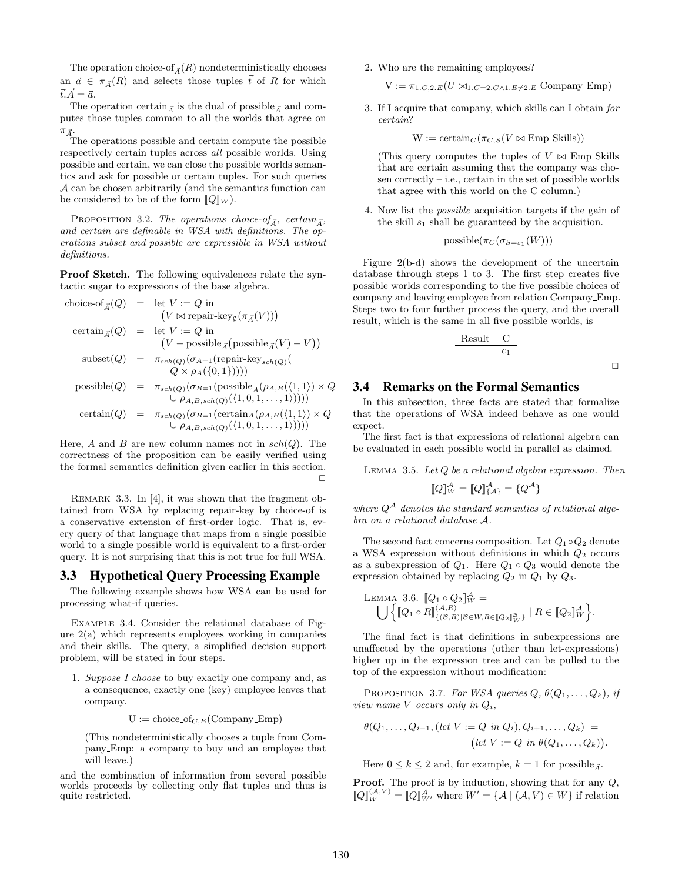The operation choice-of<sub> $\vec{A}$ </sub> $(R)$  nondeterministically chooses an  $\vec{a} \in \pi_{\vec{A}}(R)$  and selects those tuples  $\vec{t}$  of R for which  $\vec{t} \cdot \vec{A} = \vec{a}$ .

The operation certain  $\bar{A}$  is the dual of possible  $\bar{A}$  and computes those tuples common to all the worlds that agree on  $\pi_{\vec{A}}$ .

The operations possible and certain compute the possible respectively certain tuples across all possible worlds. Using possible and certain, we can close the possible worlds semantics and ask for possible or certain tuples. For such queries A can be chosen arbitrarily (and the semantics function can be considered to be of the form  $[Q]_W$ .

PROPOSITION 3.2. The operations choice-of<sub> $\vec{A}$ </sub>, certain<sub> $\vec{A}$ </sub>, and certain are definable in WSA with definitions. The operations subset and possible are expressible in WSA without definitions.

Proof Sketch. The following equivalences relate the syntactic sugar to expressions of the base algebra.

$$
\begin{array}{rcl}\n\text{choice-of}_{\vec{A}}(Q) & = & \text{let } V := Q \text{ in} \\
& & \left(V \bowtie \text{ repair-key}_{\emptyset}(\pi_{\vec{A}}(V))\right) \\
\text{certain}_{\vec{A}}(Q) & = & \text{let } V := Q \text{ in} \\
& & \left(V - \text{possible}_{\vec{A}}\left(\text{possible}_{\vec{A}}(V) - V\right)\right) \\
\text{subset}(Q) & = & \pi_{sch(Q)}(\sigma_{A=1}\left(\text{repair-key}_{sch(Q)}(Q) - Q \text{ is a})\right) \\
& \left(Q\right) & = & \pi_{sch(Q)}(\sigma_{B=1}\left(\text{possible}_{A}(p_{A,B}(\langle 1,1 \rangle) \times Q) - \text{possible}_{A}(p_{A,B}(p_{A,B}(\langle 1,1 \rangle) \times Q) \right) \\
& \left(V - \mu_{A,B,sch(Q)}(Q) \left(\sum_{i=1}^{\infty} \left(\text{certain}_{A}(p_{A,B}(\langle 1,1 \rangle) \times Q) - \mu_{A,B,sch(Q)}(Q)\right)\right)\right) \\
& \left(V - \mu_{A,B,sch(Q)}(Q) \left(\sum_{i=1}^{\infty} \left(\text{certain}_{A}(p_{A,B}(\langle 1,1 \rangle) \times Q) - \mu_{A,B,sch(Q)}(Q)\right)\right)\right)\n\end{array}
$$

Here, A and B are new column names not in  $sch(Q)$ . The correctness of the proposition can be easily verified using the formal semantics definition given earlier in this section.  $\Box$ 

REMARK 3.3. In [4], it was shown that the fragment obtained from WSA by replacing repair-key by choice-of is a conservative extension of first-order logic. That is, every query of that language that maps from a single possible world to a single possible world is equivalent to a first-order query. It is not surprising that this is not true for full WSA.

# 3.3 Hypothetical Query Processing Example

The following example shows how WSA can be used for processing what-if queries.

Example 3.4. Consider the relational database of Figure 2(a) which represents employees working in companies and their skills. The query, a simplified decision support problem, will be stated in four steps.

1. Suppose I choose to buy exactly one company and, as a consequence, exactly one (key) employee leaves that company.

 $U := \text{choice\_of}_{C,E}(\text{Company\_Emp})$ 

(This nondeterministically chooses a tuple from Company Emp: a company to buy and an employee that will leave.)

2. Who are the remaining employees?

 $V := \pi_{1.C,2.E}(U \bowtie_{1.C=2.C \wedge 1.E\neq 2.E} \text{ Company} \_\text{Emp})$ 

3. If I acquire that company, which skills can I obtain for certain?

 $W := \text{certain}_C(\pi_{C,S}(V \bowtie \text{Emp\_Skills}))$ 

(This query computes the tuples of  $V \bowtie$  Emp Skills that are certain assuming that the company was chosen correctly – i.e., certain in the set of possible worlds that agree with this world on the C column.)

4. Now list the possible acquisition targets if the gain of the skill  $s_1$  shall be guaranteed by the acquisition.

$$
\mathrm{possible}(\pi_{C}(\sigma_{S=s_{1}}(W)))
$$

Figure 2(b-d) shows the development of the uncertain database through steps 1 to 3. The first step creates five possible worlds corresponding to the five possible choices of company and leaving employee from relation Company Emp. Steps two to four further process the query, and the overall result, which is the same in all five possible worlds, is

$$
\begin{array}{c|c}\n\text{Result} & \text{C} \\
\hline\nc_1\n\end{array}
$$

#### 3.4 Remarks on the Formal Semantics

In this subsection, three facts are stated that formalize that the operations of WSA indeed behave as one would expect.

The first fact is that expressions of relational algebra can be evaluated in each possible world in parallel as claimed.

LEMMA 3.5. Let  $Q$  be a relational algebra expression. Then

$$
[\![Q]\!]_W^{\mathcal{A}} = [\![Q]\!]_{\{\mathcal{A}\}}^{\mathcal{A}} = \{Q^{\mathcal{A}}\}
$$

where  $Q^{\mathcal{A}}$  denotes the standard semantics of relational algebra on a relational database A.

The second fact concerns composition. Let  $Q_1 \circ Q_2$  denote a WSA expression without definitions in which  $Q_2$  occurs as a subexpression of  $Q_1$ . Here  $Q_1 \circ Q_3$  would denote the expression obtained by replacing  $Q_2$  in  $Q_1$  by  $Q_3$ .

LEMMA 3.6. 
$$
[Q_1 \circ Q_2]_W^A = \bigcup \{ [Q_1 \circ R]_{\{(B,R)|B \in W, R \in [Q_2]_W^B\}} | R \in [Q_2]_W^A \}.
$$

The final fact is that definitions in subexpressions are unaffected by the operations (other than let-expressions) higher up in the expression tree and can be pulled to the top of the expression without modification:

PROPOSITION 3.7. For WSA queries  $Q, \theta(Q_1, \ldots, Q_k)$ , if view name  $V$  occurs only in  $Q_i$ ,

$$
\theta(Q_1, \ldots, Q_{i-1}, (\text{let } V := Q \text{ in } Q_i), Q_{i+1}, \ldots, Q_k) =
$$
  

$$
(\text{let } V := Q \text{ in } \theta(Q_1, \ldots, Q_k)).
$$

Here  $0 \leq k \leq 2$  and, for example,  $k = 1$  for possible  $\vec{A}$ .

Proof. The proof is by induction, showing that for any  $Q$ ,  $\llbracket Q \rrbracket_W^{(\mathcal{A},V)} = \llbracket Q \rrbracket_{W'}^{\mathcal{A}}$  where  $W' = \{\mathcal{A} \mid (\mathcal{A}, V) \in W\}$  if relation

and the combination of information from several possible worlds proceeds by collecting only flat tuples and thus is quite restricted.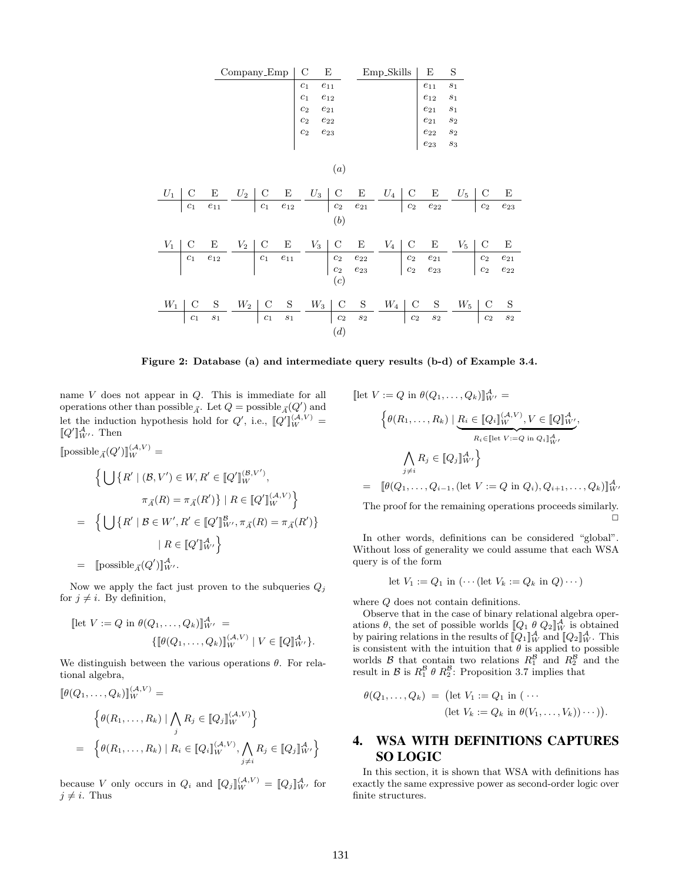

Figure 2: Database (a) and intermediate query results (b-d) of Example 3.4.

name V does not appear in Q. This is immediate for all operations other than possible<sub> $\vec{A}$ </sub>. Let  $Q = \text{possible}_{\vec{A}}(Q')$  and let the induction hypothesis hold for  $Q'$ , i.e.,  $[Q']_{W}^{(\mathcal{A},V)}=$  $[Q']_{W'}^{\mathcal{A}}$ . Then

 $[\text{possible}_{\vec{A}}(Q')]_W^{(\mathcal{A},V)} =$ 

$$
\left\{ \bigcup \left\{ R' \mid (\mathcal{B}, V') \in W, R' \in \llbracket Q' \rrbracket_W^{(\mathcal{B}, V')}, \right. \right.\left. \pi_{\vec{A}}(R) = \pi_{\vec{A}}(R') \right\} \mid R \in \llbracket Q' \rrbracket_W^{(\mathcal{A}, V)} \right\}
$$
\n
$$
= \left\{ \bigcup \left\{ R' \mid \mathcal{B} \in W', R' \in \llbracket Q' \rrbracket_{W'}^{\mathcal{B}}, \pi_{\vec{A}}(R) = \pi_{\vec{A}}(R') \right\}
$$
\n
$$
\mid R \in \llbracket Q' \rrbracket_{W'}^{\mathcal{A}} \right\}
$$
\n
$$
= \left[ \text{possible}_{\vec{A}}(Q') \rrbracket_{W'}^{\mathcal{A}} \right.
$$

Now we apply the fact just proven to the subqueries  $Q_i$ for  $j \neq i$ . By definition,

$$
\text{[let } V := Q \text{ in } \theta(Q_1, \dots, Q_k) \|^{\mathcal{A}}_{W'} =
$$
\n
$$
\{ [\![\theta(Q_1, \dots, Q_k)]\!]^{\mathcal{A}, V}_{W} \mid V \in [\![Q]\!]^{\mathcal{A}}_{W'} \}.
$$

We distinguish between the various operations  $\theta$ . For relational algebra,

$$
\begin{aligned} [\![\theta(Q_1,\ldots,Q_k)]\!]_W^{(\mathcal{A},V)} &= \\ & \left\{ \theta(R_1,\ldots,R_k) \mid \bigwedge_j R_j \in [\![Q_j]\!]_W^{(\mathcal{A},V)} \right\} \\ &= \left\{ \theta(R_1,\ldots,R_k) \mid R_i \in [\![Q_i]\!]_W^{(\mathcal{A},V)}, \bigwedge_{j \neq i} R_j \in [\![Q_j]\!]_{W'}^{\mathcal{A}} \right\} \end{aligned}
$$

because V only occurs in  $Q_i$  and  $[Q_j]_W^{(\mathcal{A},V)} = [Q_j]_{W'}^{\mathcal{A}}$  for  $j \neq i$ . Thus

$$
\begin{aligned}\n\left[\text{let } V := Q \text{ in } \theta(Q_1, \dots, Q_k)\right]_{W'}^A &= \\
& \left\{ \theta(R_1, \dots, R_k) \mid \underbrace{R_i \in [Q_i]_{W}^{(\mathcal{A}, V)}, V \in [Q]_{W'}^A}_{R_i \in [\text{let } V := Q \text{ in } Q_i]_{W'}^A}, \right. \\
& \left. \bigwedge_{j \neq i} R_j \in [Q_j]_{W'}^A \right\} \\
&= \left[ \theta(Q_1, \dots, Q_{i-1}, (\text{let } V := Q \text{ in } Q_i), Q_{i+1}, \dots, Q_k) \right]_{W'}^A\n\end{aligned}
$$

The proof for the remaining operations proceeds similarly.  $\Box$ 

In other words, definitions can be considered "global". Without loss of generality we could assume that each WSA query is of the form

let 
$$
V_1 := Q_1
$$
 in  $(\cdots (\text{let } V_k := Q_k \text{ in } Q) \cdots)$ 

where  $Q$  does not contain definitions.

Observe that in the case of binary relational algebra operations  $\theta$ , the set of possible worlds  $[Q_1 \theta Q_2]_W^{\mathcal{A}}$  is obtained by pairing relations in the results of  $\llbracket Q_1 \rrbracket_W^{\mathcal{A}}$  and  $\llbracket Q_2 \rrbracket_W^{\mathcal{A}}$ . This is consistent with the intuition that  $\theta$  is applied to possible worlds  $\beta$  that contain two relations  $R_1^{\beta}$  and  $R_2^{\beta}$  and the result in  $\mathcal{B}$  is  $R_1^{\mathcal{B}} \theta R_2^{\mathcal{B}}$ : Proposition 3.7 implies that

$$
\theta(Q_1,\ldots,Q_k) = (\text{let } V_1 := Q_1 \text{ in } (\cdots
$$
  
(let  $V_k := Q_k \text{ in } \theta(V_1,\ldots,V_k))\cdots)).$ 

# 4. WSA WITH DEFINITIONS CAPTURES SO LOGIC

In this section, it is shown that WSA with definitions has exactly the same expressive power as second-order logic over finite structures.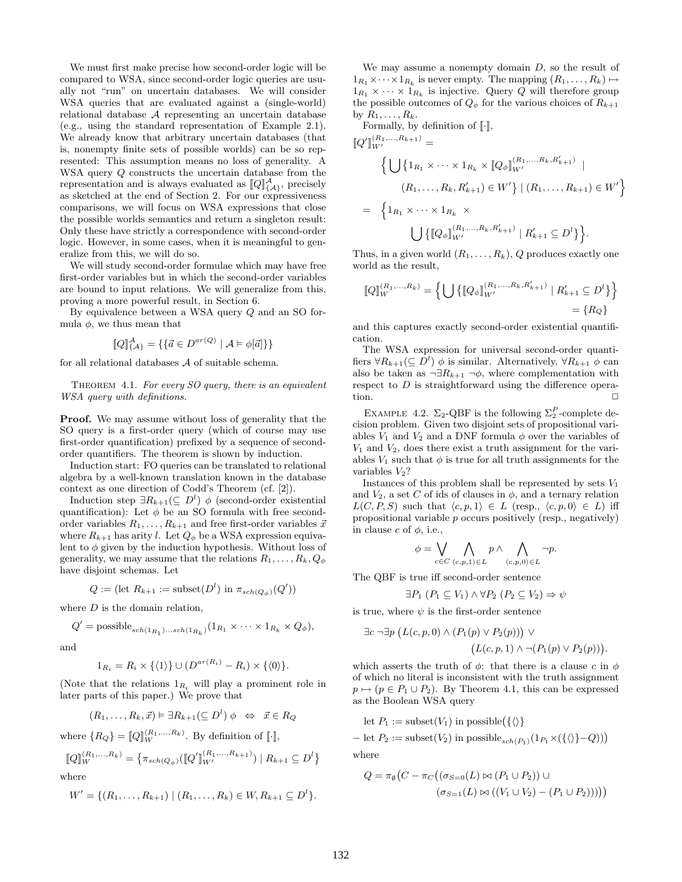We must first make precise how second-order logic will be compared to WSA, since second-order logic queries are usually not "run" on uncertain databases. We will consider WSA queries that are evaluated against a (single-world) relational database A representing an uncertain database (e.g., using the standard representation of Example 2.1). We already know that arbitrary uncertain databases (that is, nonempty finite sets of possible worlds) can be so represented: This assumption means no loss of generality. A WSA query Q constructs the uncertain database from the representation and is always evaluated as  $\llbracket Q \rrbracket^{\mathcal{A}}_{\{\mathcal{A}\}}$ , precisely as sketched at the end of Section 2. For our expressiveness comparisons, we will focus on WSA expressions that close the possible worlds semantics and return a singleton result: Only these have strictly a correspondence with second-order logic. However, in some cases, when it is meaningful to generalize from this, we will do so.

We will study second-order formulae which may have free first-order variables but in which the second-order variables are bound to input relations. We will generalize from this, proving a more powerful result, in Section 6.

By equivalence between a WSA query Q and an SO formula  $\phi$ , we thus mean that

$$
\llbracket Q \rrbracket_{\{A\}}^{\mathcal{A}} = \{ \{ \vec{a} \in D^{ar(Q)} \mid \mathcal{A} \models \phi[\vec{a}] \} \}
$$

for all relational databases  ${\mathcal A}$  of suitable schema.

THEOREM 4.1. For every  $SO$  query, there is an equivalent WSA query with definitions.

Proof. We may assume without loss of generality that the SO query is a first-order query (which of course may use first-order quantification) prefixed by a sequence of secondorder quantifiers. The theorem is shown by induction.

Induction start: FO queries can be translated to relational algebra by a well-known translation known in the database context as one direction of Codd's Theorem (cf. [2]).

Induction step  $\exists R_{k+1}(\subseteq D^l) \phi$  (second-order existential quantification): Let  $\phi$  be an SO formula with free secondorder variables  $R_1, \ldots, R_{k+1}$  and free first-order variables  $\vec{x}$ where  $R_{k+1}$  has arity l. Let  $Q_{\phi}$  be a WSA expression equivalent to  $\phi$  given by the induction hypothesis. Without loss of generality, we may assume that the relations  $R_1, \ldots, R_k, Q_\phi$ have disjoint schemas. Let

$$
Q := (\text{let } R_{k+1} := \text{subset}(D^l) \text{ in } \pi_{sch(Q_{\phi})}(Q^l))
$$

where  $D$  is the domain relation,

$$
Q' = \text{possible}_{sch(1_{R_1})...sch(1_{R_k})}(1_{R_1} \times \cdots \times 1_{R_k} \times Q_{\phi}),
$$

and

$$
1_{R_i} = R_i \times \{ \langle 1 \rangle \} \cup (D^{ar(R_i)} - R_i) \times \{ \langle 0 \rangle \}.
$$

(Note that the relations  $1_{R_i}$  will play a prominent role in later parts of this paper.) We prove that

$$
(R_1,\ldots,R_k,\vec{x}) \vDash \exists R_{k+1}(\subseteq D^l) \phi \Leftrightarrow \vec{x} \in R_Q
$$

where  $\{R_Q\} = [Q]_W^{(R_1,\ldots,R_k)}$ . By definition of [ $\cdot$ ],

$$
[\![Q]\!]_W^{(R_1,\ldots,R_k)} = \{ \pi_{sch(Q_\phi)}([\![Q']\!]_{W'}^{(R_1,\ldots,R_{k+1})}) \mid R_{k+1} \subseteq D^l \}
$$
  
where

$$
W = \mathbf{R} \mathbf{C}
$$

$$
W' = \{(R_1, \ldots, R_{k+1}) \mid (R_1, \ldots, R_k) \in W, R_{k+1} \subseteq D^l\}.
$$

We may assume a nonempty domain  $D$ , so the result of  $1_{R_1} \times \cdots \times 1_{R_k}$  is never empty. The mapping  $(R_1, \ldots, R_k) \mapsto$  $1_{R_1} \times \cdots \times 1_{R_k}$  is injective. Query Q will therefore group the possible outcomes of  $Q_{\phi}$  for the various choices of  $R_{k+1}$ by  $R_1, \ldots, R_k$ .

Formally, by definition of  $\lbrack \cdot \rbrack$ ,

 $[Q']_{W'}^{(R_1,...,R_{k+1})} =$ 

$$
\left\{ \bigcup \{1_{R_1} \times \cdots \times 1_{R_k} \times [Q_{\phi}]_{W'}^{(R_1, \ldots, R_k, R'_{k+1})} \mid
$$
  

$$
(R_1, \ldots, R_k, R'_{k+1}) \in W' \} | (R_1, \ldots, R_{k+1}) \in W' \right\}
$$
  

$$
= \left\{ 1_{R_1} \times \cdots \times 1_{R_k} \times \bigcup \{ [Q_{\phi}]_{W'}^{(R_1, \ldots, R_k, R'_{k+1})} | R'_{k+1} \subseteq D^l \} \right\}.
$$

Thus, in a given world  $(R_1, \ldots, R_k)$ , Q produces exactly one world as the result,

$$
[\![Q]\!]^{\textstyle (R_1,\ldots,R_k)}_W = \Big\{ \bigcup \big\{ [\![Q_\phi]\!]^{\textstyle (R_1,\ldots,R_k,R'_{k+1})}_{W'} \mid R'_{k+1} \subseteq D^l \big\} \Big\} \\ = \{ R_Q \}
$$

and this captures exactly second-order existential quantification.

The WSA expression for universal second-order quantifiers  $\forall R_{k+1}(\subseteq D^l) \phi$  is similar. Alternatively,  $\forall R_{k+1} \phi$  can also be taken as  $\neg \exists R_{k+1} \neg \phi$ , where complementation with respect to  $D$  is straightforward using the difference operation.  $\Box$ 

EXAMPLE 4.2.  $\Sigma_2$ -QBF is the following  $\Sigma_2^P$ -complete decision problem. Given two disjoint sets of propositional variables  $V_1$  and  $V_2$  and a DNF formula  $\phi$  over the variables of  $V_1$  and  $V_2$ , does there exist a truth assignment for the variables  $V_1$  such that  $\phi$  is true for all truth assignments for the variables  $V_2$ ?

Instances of this problem shall be represented by sets  $V_1$ and  $V_2$ , a set C of ids of clauses in  $\phi$ , and a ternary relation  $L(C, P, S)$  such that  $\langle c, p, 1 \rangle \in L$  (resp.,  $\langle c, p, 0 \rangle \in L$ ) iff propositional variable p occurs positively (resp., negatively) in clause c of  $\phi$ , i.e.,

$$
\phi = \bigvee_{c \in C} \bigwedge_{\langle c, p, 1 \rangle \in L} p \land \bigwedge_{\langle c, p, 0 \rangle \in L} \neg p.
$$

The QBF is true iff second-order sentence

$$
\exists P_1 \ (P_1 \subseteq V_1) \land \forall P_2 \ (P_2 \subseteq V_2) \Rightarrow \psi
$$

is true, where  $\psi$  is the first-order sentence

$$
\exists c \neg \exists p \ (L(c, p, 0) \land (P_1(p) \lor P_2(p))) \lor (L(c, p, 1) \land \neg (P_1(p) \lor P_2(p))).
$$

which asserts the truth of  $\phi$ : that there is a clause c in  $\phi$ of which no literal is inconsistent with the truth assignment  $p \mapsto (p \in P_1 \cup P_2)$ . By Theorem 4.1, this can be expressed as the Boolean WSA query

let 
$$
P_1
$$
 := subset $(V_1)$  in possible $(\{\langle\rangle\}$   
– let  $P_2$  := subset $(V_2)$  in possible<sub>*sch*( $P_1$ ) $(1_{P_1} \times (\{\langle\rangle\} - Q))$</sub> 

where

$$
Q = \pi_{\emptyset} \big( C - \pi_C \big( (\sigma_{S=0}(L) \bowtie (P_1 \cup P_2)) \cup \left( \sigma_{S=1}(L) \bowtie ((V_1 \cup V_2) - (P_1 \cup P_2)) \big) \big) \big)
$$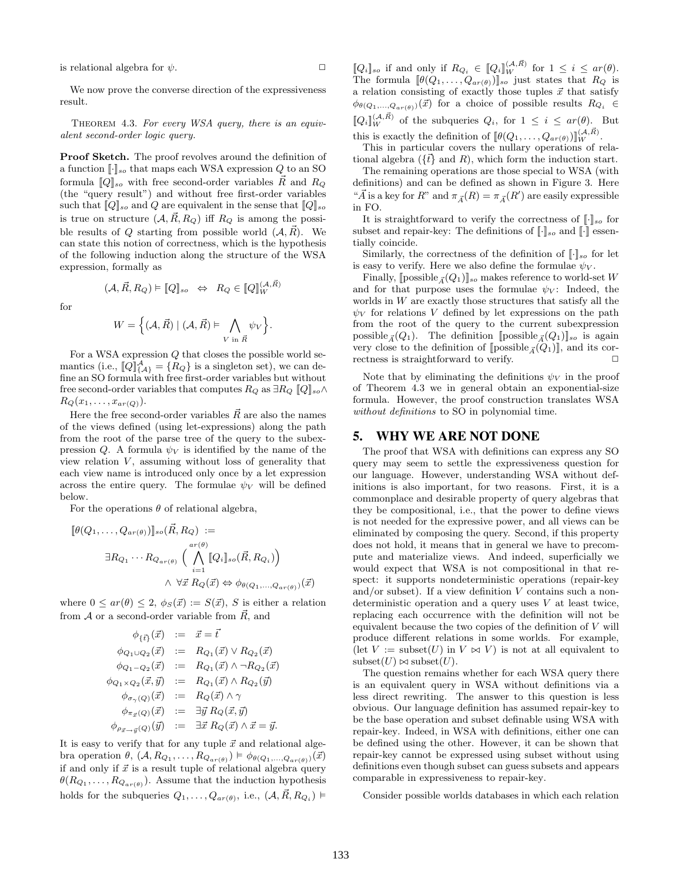is relational algebra for  $\psi$ .

We now prove the converse direction of the expressiveness result.

THEOREM 4.3. For every WSA query, there is an equivalent second-order logic query.

Proof Sketch. The proof revolves around the definition of a function  $[\![\cdot]\!]_{so}$  that maps each WSA expression  $Q$  to an SO formula  $[Q]_{so}$  with free second-order variables  $\vec{R}$  and  $R_Q$ (the "query result") and without free first-order variables such that  $[Q]_{so}$  and Q are equivalent in the sense that  $[Q]_{so}$ is true on structure  $(A, \tilde{R}, R_Q)$  iff  $R_Q$  is among the possible results of Q starting from possible world  $(A, \vec{R})$ . We can state this notion of correctness, which is the hypothesis of the following induction along the structure of the WSA expression, formally as

for

$$
W = \left\{ (\mathcal{A}, \vec{R}) \mid (\mathcal{A}, \vec{R}) \vDash \bigwedge_{V \text{ in } \vec{R}} \psi_V \right\}
$$

.

 $(\mathcal{A}, \vec{R}, R_Q) \models \llbracket Q \rrbracket_{so} \Leftrightarrow R_Q \in \llbracket Q \rrbracket_W^{(\mathcal{A}, \vec{R})}$ 

For a WSA expression Q that closes the possible world semantics (i.e.,  $\llbracket Q \rrbracket_{\{\mathcal{A}\}}^{\mathcal{A}} = \{R_Q\}$  is a singleton set), we can define an SO formula with free first-order variables but without free second-order variables that computes  $R_Q$  as  $\exists R_Q \llbracket Q \rrbracket_{so} \wedge$  $R_Q(x_1, \ldots, x_{ar(Q)})$ .

Here the free second-order variables  $\vec{R}$  are also the names of the views defined (using let-expressions) along the path from the root of the parse tree of the query to the subexpression Q. A formula  $\psi_V$  is identified by the name of the view relation  $V$ , assuming without loss of generality that each view name is introduced only once by a let expression across the entire query. The formulae  $\psi_V$  will be defined below.

For the operations  $\theta$  of relational algebra,

$$
\[\theta(Q_1, \ldots, Q_{ar(\theta)})\]_{so}(\vec{R}, R_Q) :=
$$
  

$$
\exists R_{Q_1} \cdots R_{Q_{ar(\theta)}} \Big(\bigwedge_{i=1}^{ar(\theta)} [Q_i]_{so}(\vec{R}, R_{Q_i})\Big)
$$
  

$$
\wedge \forall \vec{x} R_Q(\vec{x}) \Leftrightarrow \phi_{\theta(Q_1, \ldots, Q_{ar(\theta)})}(\vec{x})
$$

where  $0 \leq ar(\theta) \leq 2$ ,  $\phi_S(\vec{x}) := S(\vec{x})$ , S is either a relation from  $A$  or a second-order variable from  $\vec{R}$ , and

$$
\begin{array}{rcl}\n\phi_{\{\vec{t}\}}(\vec{x}) & := & \vec{x} = \vec{t} \\
\phi_{Q_1 \cup Q_2}(\vec{x}) & := & R_{Q_1}(\vec{x}) \vee R_{Q_2}(\vec{x}) \\
\phi_{Q_1 \sim Q_2}(\vec{x}) & := & R_{Q_1}(\vec{x}) \wedge \neg R_{Q_2}(\vec{x}) \\
\phi_{Q_1 \times Q_2}(\vec{x}, \vec{y}) & := & R_{Q_1}(\vec{x}) \wedge R_{Q_2}(\vec{y}) \\
\phi_{\sigma_\gamma(Q)}(\vec{x}) & := & R_Q(\vec{x}) \wedge \gamma \\
\phi_{\pi_{\vec{x}}(Q)}(\vec{x}) & := & \exists \vec{y} \ R_Q(\vec{x}, \vec{y}) \\
\phi_{\rho_{\vec{x} \to \vec{y}}(Q)}(\vec{y}) & := & \exists \vec{x} \ R_Q(\vec{x}) \wedge \vec{x} = \vec{y}.\n\end{array}
$$

It is easy to verify that for any tuple  $\vec{x}$  and relational algebra operation  $\theta$ ,  $(\mathcal{A}, R_{Q_1}, \ldots, R_{Q_{ar(\theta)}}) \models \phi_{\theta(Q_1, \ldots, Q_{ar(\theta)})}(\vec{x})$ if and only if  $\vec{x}$  is a result tuple of relational algebra query  $\theta(R_{Q_1},\ldots,R_{Q_{ar(\theta)}})$ . Assume that the induction hypothesis holds for the subqueries  $Q_1, \ldots, Q_{ar(\theta)}$ , i.e.,  $(\mathcal{A}, \vec{R}, R_{Q_i}) \models$ 

 $[\![Q_i]\!]_{so}$  if and only if  $R_{Q_i} \in [\![Q_i]\!]_{W}^{(A,\vec{R})}$  for  $1 \leq i \leq ar(\theta)$ . The formula  $[\![\theta(Q_1,\ldots,Q_{ar(\theta)})]\!]_{so}$  just states that  $R_Q$  is a relation consisting of exactly those tuples  $\vec{x}$  that satisfy  $\phi_{\theta(Q_1,...,Q_{ar(\theta)})}(\vec{x})$  for a choice of possible results  $R_{Q_i} \in$  $[Q_i]_W^{(\mathcal{A}, \vec{R})}$  of the subqueries  $Q_i$ , for  $1 \leq i \leq ar(\theta)$ . But

this is exactly the definition of  $[\![\theta(Q_1,\ldots,Q_{ar(\theta)})\!]_W^{(\mathcal{A},\vec{R})}$ .

This in particular covers the nullary operations of relational algebra  $({t \atop t})$  and R), which form the induction start.

The remaining operations are those special to WSA (with definitions) and can be defined as shown in Figure 3. Here " $\vec{A}$  is a key for  $R$ " and  $\pi_{\vec{A}}(R) = \pi_{\vec{A}}(R')$  are easily expressible in FO.

It is straightforward to verify the correctness of  $\lbrack \cdot \rbrack$ <sub>so</sub> for subset and repair-key: The definitions of  $\lbrack \cdot \rbrack$  so and  $\lbrack \cdot \rbrack$  essentially coincide.

Similarly, the correctness of the definition of  $\lbrack \cdot \rbrack_{so}$  for let is easy to verify. Here we also define the formulae  $\psi_V$ .

Finally,  $[\text{possible}_{\vec{A}}(Q_1)]_{so}$  makes reference to world-set W and for that purpose uses the formulae  $\psi_V$ : Indeed, the worlds in  $W$  are exactly those structures that satisfy all the  $\psi_V$  for relations V defined by let expressions on the path from the root of the query to the current subexpression possible<sub> $\bar{A}^{(Q_1)}$ </sub>. The definition [possible<sub> $\bar{A}^{(Q_1)}$ ]<sub>so</sub> is again</sub> very close to the definition of  $[\text{possible}_{\vec{A}}(Q_1)]$ , and its correctness is straightforward to verify. rectness is straightforward to verify.

Note that by eliminating the definitions  $\psi_V$  in the proof of Theorem 4.3 we in general obtain an exponential-size formula. However, the proof construction translates WSA without definitions to SO in polynomial time.

# 5. WHY WE ARE NOT DONE

The proof that WSA with definitions can express any SO query may seem to settle the expressiveness question for our language. However, understanding WSA without definitions is also important, for two reasons. First, it is a commonplace and desirable property of query algebras that they be compositional, i.e., that the power to define views is not needed for the expressive power, and all views can be eliminated by composing the query. Second, if this property does not hold, it means that in general we have to precompute and materialize views. And indeed, superficially we would expect that WSA is not compositional in that respect: it supports nondeterministic operations (repair-key and/or subset). If a view definition  $V$  contains such a nondeterministic operation and a query uses V at least twice, replacing each occurrence with the definition will not be equivalent because the two copies of the definition of  $V$  will produce different relations in some worlds. For example, (let  $V := \text{subset}(U)$  in  $V \bowtie V$ ) is not at all equivalent to  $\text{subset}(U) \bowtie \text{subset}(U)$ .

The question remains whether for each WSA query there is an equivalent query in WSA without definitions via a less direct rewriting. The answer to this question is less obvious. Our language definition has assumed repair-key to be the base operation and subset definable using WSA with repair-key. Indeed, in WSA with definitions, either one can be defined using the other. However, it can be shown that repair-key cannot be expressed using subset without using definitions even though subset can guess subsets and appears comparable in expressiveness to repair-key.

Consider possible worlds databases in which each relation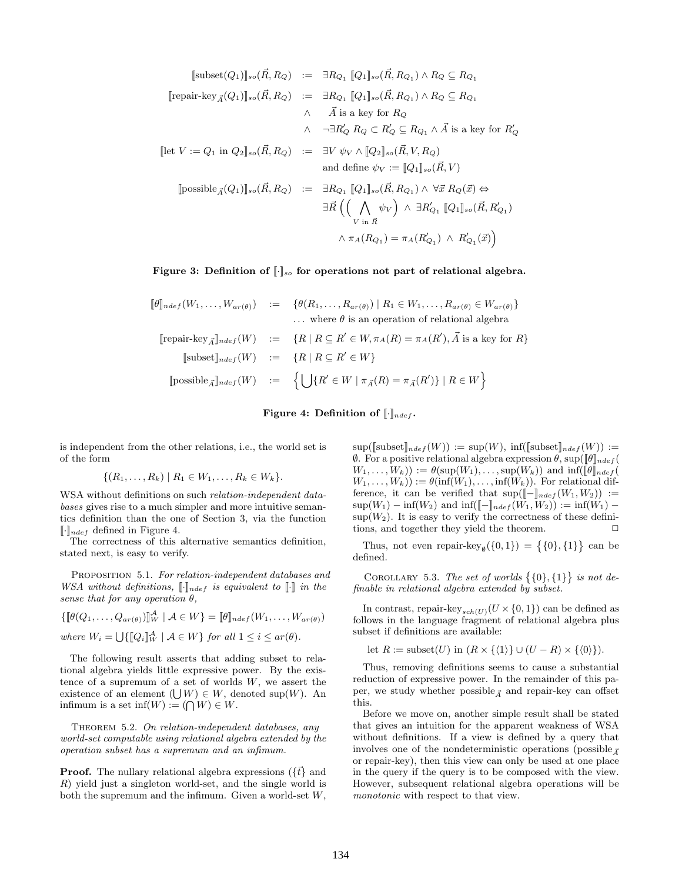$$
[\text{subset}(Q_1)]_{so}(\vec{R}, R_Q) := \exists R_{Q_1} [Q_1]_{so}(\vec{R}, R_{Q_1}) \wedge R_Q \subseteq R_{Q_1}
$$
  
\n
$$
[\text{repair-key}_{\vec{A}}(Q_1)]_{so}(\vec{R}, R_Q) := \exists R_{Q_1} [Q_1]_{so}(\vec{R}, R_{Q_1}) \wedge R_Q \subseteq R_{Q_1}
$$
  
\n
$$
\wedge \quad \vec{A} \text{ is a key for } R_Q
$$
  
\n
$$
\wedge \quad \neg \exists R'_Q R_Q \subset R'_Q \subseteq R_{Q_1} \wedge \vec{A} \text{ is a key for } R'_Q
$$
  
\n
$$
[\text{let } V := Q_1 \text{ in } Q_2]_{so}(\vec{R}, R_Q) := \exists V \psi_V \wedge [Q_2]_{so}(\vec{R}, V, R_Q)
$$
  
\nand define  $\psi_V := [Q_1]_{so}(\vec{R}, V)$   
\n
$$
[\text{possible}_{\vec{A}}(Q_1)]_{so}(\vec{R}, R_Q) := \exists R_{Q_1} [Q_1]_{so}(\vec{R}, R_{Q_1}) \wedge \forall \vec{x} R_Q(\vec{x}) \Leftrightarrow
$$
  
\n
$$
\exists \vec{R} \left( \bigwedge_{V \text{ in } \vec{R}} \psi_V \right) \wedge \exists R'_{Q_1} [Q_1]_{so}(\vec{R}, R'_{Q_1})
$$
  
\n
$$
\wedge \pi_A(R_{Q_1}) = \pi_A(R'_{Q_1}) \wedge R'_{Q_1}(\vec{x})
$$

Figure 3: Definition of  $[\cdot]_{so}$  for operations not part of relational algebra.

$$
\llbracket \theta \rrbracket_{ndef}(W_1, \ldots, W_{ar(\theta)}) \; := \; \{ \theta(R_1, \ldots, R_{ar(\theta)}) \mid R_1 \in W_1, \ldots, R_{ar(\theta)} \in W_{ar(\theta)} \} \n\ldots \text{ where } \theta \text{ is an operation of relational algebra} \n\llbracket \text{repair-key}_{\vec{A}} \rrbracket_{ndef}(W) \; := \; \{ R \mid R \subseteq R' \in W, \pi_A(R) = \pi_A(R'), \vec{A} \text{ is a key for } R \} \n\llbracket \text{subsetif}(W) \; := \; \{ R \mid R \subseteq R' \in W \} \n\llbracket \text{possible}_{\vec{A}} \rrbracket_{ndef}(W) \; := \; \{ \bigcup \{ R' \in W \mid \pi_{\vec{A}}(R) = \pi_{\vec{A}}(R') \} \mid R \in W \}
$$



is independent from the other relations, i.e., the world set is of the form

$$
\{(R_1,\ldots,R_k) \mid R_1 \in W_1,\ldots,R_k \in W_k\}.
$$

WSA without definitions on such relation-independent databases gives rise to a much simpler and more intuitive semantics definition than the one of Section 3, via the function  $\lbrack \cdot \rbrack_{ndef}$  defined in Figure 4.

The correctness of this alternative semantics definition, stated next, is easy to verify.

PROPOSITION 5.1. For relation-independent databases and WSA without definitions,  $[\![\cdot]\!]_{ndef}$  is equivalent to  $[\![\cdot]\!]$  in the sense that for any operation  $\theta$ ,

 $\{\llbracket \theta(Q_1,\ldots,Q_{ar(\theta)}) \rrbracket_W^{\mathcal{A}} \mid \mathcal{A} \in W \} = \llbracket \theta \rrbracket_{ndef}(W_1,\ldots,W_{ar(\theta)})$ where  $W_i = \bigcup \{ [ \![Q_i ]\!]_W^{\mathcal{A}} \mid \mathcal{A} \in W \}$  for all  $1 \leq i \leq ar(\theta)$ .

The following result asserts that adding subset to relational algebra yields little expressive power. By the existence of a supremum of a set of worlds  $W$ , we assert the existence of an element  $(U/W) \in W$ , denoted sup $(W)$ . An infimum is a set  $\text{inf}(W) := (\bigcap W) \in W$ .

THEOREM 5.2. On relation-independent databases, any world-set computable using relational algebra extended by the operation subset has a supremum and an infimum.

**Proof.** The nullary relational algebra expressions ( $\{t\}$  and R) yield just a singleton world-set, and the single world is both the supremum and the infimum. Given a world-set  $W$ ,  $\sup(\llbracket \text{subsetf}(W) \rrbracket) := \sup(W), \inf(\llbracket \text{subsetf}(W) \rrbracket) :=$  $\emptyset$ . For a positive relational algebra expression θ, sup( $[\![θ]\!]_{ndef}$  $W_1, \ldots, W_k)$ ) :=  $\theta(\sup(W_1), \ldots, \sup(W_k))$  and  $\inf([\![\theta]\!]_{ndef})$  $W_1, \ldots, W_k)$  :=  $\theta(\inf(W_1), \ldots, \inf(W_k))$ . For relational difference, it can be verified that  $\sup([-]_{ndef}(W_1, W_2)) :=$  $\sup(W_1) - \inf(W_2)$  and  $\inf([-]_{ndef}(W_1, W_2)) := \inf(W_1) - \inf(W_2)$  $\sup(W_2)$ . It is easy to verify the correctness of these definitions, and together they yield the theorem.

Thus, not even repair-key<sub>Ø</sub>({0,1}) = {{0},{1}} can be defined.

COROLLARY 5.3. The set of worlds  $\{\{0\},\{1\}\}\$ is not definable in relational algebra extended by subset.

In contrast, repair-key $_{sch(U)}(U \times \{0,1\})$  can be defined as follows in the language fragment of relational algebra plus subset if definitions are available:

let  $R := \text{subset}(U)$  in  $(R \times \{\langle 1 \rangle\} \cup (U - R) \times \{\langle 0 \rangle\}).$ 

Thus, removing definitions seems to cause a substantial reduction of expressive power. In the remainder of this paper, we study whether possible  $_{\vec{A}}$  and repair-key can offset this.

Before we move on, another simple result shall be stated that gives an intuition for the apparent weakness of WSA without definitions. If a view is defined by a query that involves one of the nondeterministic operations (possible  $\vec{A}$ ) or repair-key), then this view can only be used at one place in the query if the query is to be composed with the view. However, subsequent relational algebra operations will be monotonic with respect to that view.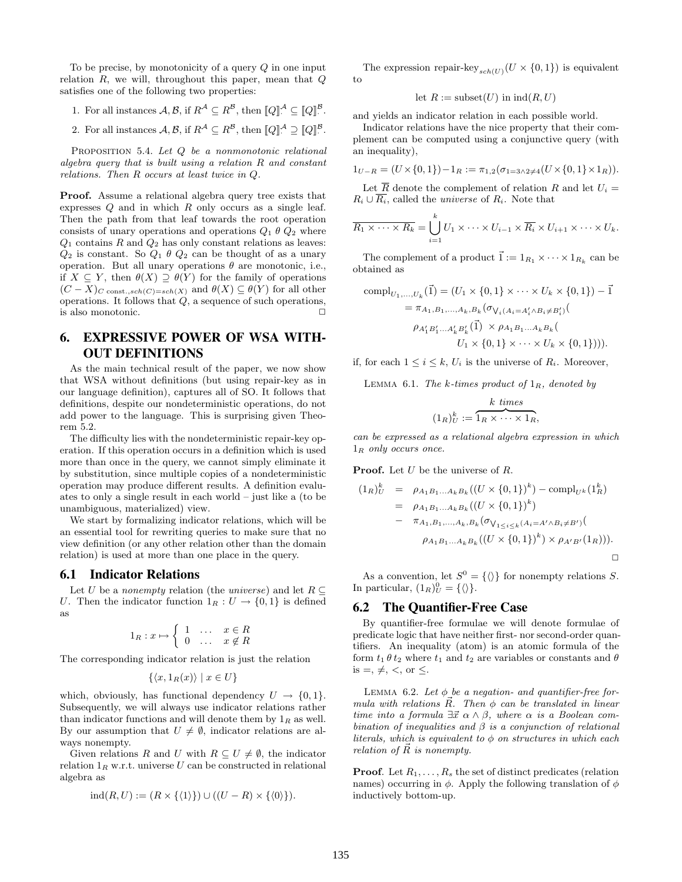To be precise, by monotonicity of a query Q in one input relation  $R$ , we will, throughout this paper, mean that  $Q$ satisfies one of the following two properties:

- 1. For all instances  $A, B$ , if  $R^A \subseteq R^B$ , then  $[Q]^{A} \subseteq [Q]^{B}$ .
- 2. For all instances  $A, B$ , if  $R^A \subseteq R^B$ , then  $[Q]^A \supseteq [Q]^B$ .

PROPOSITION 5.4. Let Q be a nonmonotonic relational algebra query that is built using a relation  $R$  and constant relations. Then R occurs at least twice in Q.

Proof. Assume a relational algebra query tree exists that expresses  $Q$  and in which  $R$  only occurs as a single leaf. Then the path from that leaf towards the root operation consists of unary operations and operations  $Q_1 \theta Q_2$  where  $\mathcal{Q}_1$  contains  $\mathcal{R}$  and  $\mathcal{Q}_2$  has only constant relations as leaves:  $Q_2$  is constant. So  $Q_1 \theta Q_2$  can be thought of as a unary operation. But all unary operations  $\theta$  are monotonic, i.e., if  $X \subseteq Y$ , then  $\theta(X) \supseteq \theta(Y)$  for the family of operations  $(C - X)_{C \text{ const.},sch(C)=sch(X)}$  and  $\theta(X) \subseteq \theta(Y)$  for all other operations. It follows that  $Q$ , a sequence of such operations, is also monotonic.

# 6. EXPRESSIVE POWER OF WSA WITH-OUT DEFINITIONS

As the main technical result of the paper, we now show that WSA without definitions (but using repair-key as in our language definition), captures all of SO. It follows that definitions, despite our nondeterministic operations, do not add power to the language. This is surprising given Theorem 5.2.

The difficulty lies with the nondeterministic repair-key operation. If this operation occurs in a definition which is used more than once in the query, we cannot simply eliminate it by substitution, since multiple copies of a nondeterministic operation may produce different results. A definition evaluates to only a single result in each world – just like a (to be unambiguous, materialized) view.

We start by formalizing indicator relations, which will be an essential tool for rewriting queries to make sure that no view definition (or any other relation other than the domain relation) is used at more than one place in the query.

### 6.1 Indicator Relations

Let U be a nonempty relation (the universe) and let  $R \subseteq$ U. Then the indicator function  $1_R : U \to \{0,1\}$  is defined as

$$
1_R: x \mapsto \left\{ \begin{array}{rcl} 1 & \dots & x \in R \\ 0 & \dots & x \notin R \end{array} \right.
$$

The corresponding indicator relation is just the relation

$$
\{ \langle x, 1_R(x) \rangle \mid x \in U \}
$$

which, obviously, has functional dependency  $U \to \{0, 1\}.$ Subsequently, we will always use indicator relations rather than indicator functions and will denote them by  $1_R$  as well. By our assumption that  $U \neq \emptyset$ , indicator relations are always nonempty.

Given relations R and U with  $R \subseteq U \neq \emptyset$ , the indicator relation  $1_R$  w.r.t. universe U can be constructed in relational algebra as

$$
ind(R, U) := (R \times \{\langle 1 \rangle\}) \cup ((U - R) \times \{\langle 0 \rangle\}).
$$

The expression repair-key  $_{sch(U)}(U \times \{0,1\})$  is equivalent to

$$
let R := subset(U) in ind(R, U)
$$

and yields an indicator relation in each possible world.

Indicator relations have the nice property that their complement can be computed using a conjunctive query (with an inequality),

$$
1_{U-R} = (U \times \{0,1\}) - 1_R := \pi_{1,2}(\sigma_{1=3 \land 2 \neq 4}(U \times \{0,1\} \times 1_R)).
$$

Let  $\overline{R}$  denote the complement of relation R and let  $U_i =$  $R_i \cup \overline{R_i}$ , called the *universe* of  $R_i$ . Note that

$$
\overline{R_1 \times \cdots \times R_k} = \bigcup_{i=1}^k U_1 \times \cdots \times U_{i-1} \times \overline{R_i} \times U_{i+1} \times \cdots \times U_k.
$$

The complement of a product  $\vec{1} := 1_{R_1} \times \cdots \times 1_{R_k}$  can be obtained as

comp
$$
I_{U_1,...,U_k}(\vec{1}) = (U_1 \times \{0, 1\} \times \cdots \times U_k \times \{0, 1\}) - \vec{1}
$$
  
\n
$$
= \pi_{A_1, B_1,...,A_k, B_k} (\sigma_{V_i(A_i = A'_i \land B_i \neq B'_i)})
$$
\n
$$
\rho_{A'_1B'_1...A'_kB'_k}(\vec{1}) \times \rho_{A_1B_1...A_kB_k}
$$
\n
$$
U_1 \times \{0, 1\} \times \cdots \times U_k \times \{0, 1\}))) .
$$

if, for each  $1 \leq i \leq k$ ,  $U_i$  is the universe of  $R_i$ . Moreover,

LEMMA 6.1. The k-times product of  $1_R$ , denoted by

$$
(1_R)^k_U := \overbrace{1_R \times \cdots \times 1_R}^{k \text{ times}},
$$

can be expressed as a relational algebra expression in which  $1_R$  only occurs once.

**Proof.** Let  $U$  be the universe of  $R$ .

$$
(1_R)_U^k = \rho_{A_1B_1...A_kB_k}((U \times \{0,1\})^k) - \text{compl}_{U^k}(1_R^k)
$$
  
=  $\rho_{A_1B_1...A_kB_k}((U \times \{0,1\})^k)$   
-  $\pi_{A_1,B_1,...,A_k,B_k}(\sigma_{V_{1 \le i \le k}(A_i = A' \land B_i \ne B')})$   
 $\rho_{A_1B_1...A_kB_k}((U \times \{0,1\})^k) \times \rho_{A'B'}(1_R))).$ 

As a convention, let  $S^0 = \{ \langle \rangle \}$  for nonempty relations S. In particular,  $(1_R)^0_U = {\{\langle \rangle\}}$ .

#### 6.2 The Quantifier-Free Case

By quantifier-free formulae we will denote formulae of predicate logic that have neither first- nor second-order quantifiers. An inequality (atom) is an atomic formula of the form  $t_1 \theta t_2$  where  $t_1$  and  $t_2$  are variables or constants and  $\theta$ is  $=$ ,  $\neq$ ,  $\lt$ , or  $\lt$ .

LEMMA 6.2. Let  $\phi$  be a negation- and quantifier-free formula with relations  $\vec{R}$ . Then  $\phi$  can be translated in linear time into a formula  $\exists \vec{x} \ \alpha \wedge \beta$ , where  $\alpha$  is a Boolean combination of inequalities and  $\beta$  is a conjunction of relational literals, which is equivalent to  $\phi$  on structures in which each relation of  $\vec{R}$  is nonempty.

**Proof.** Let  $R_1, \ldots, R_s$  the set of distinct predicates (relation names) occurring in  $\phi$ . Apply the following translation of  $\phi$ inductively bottom-up.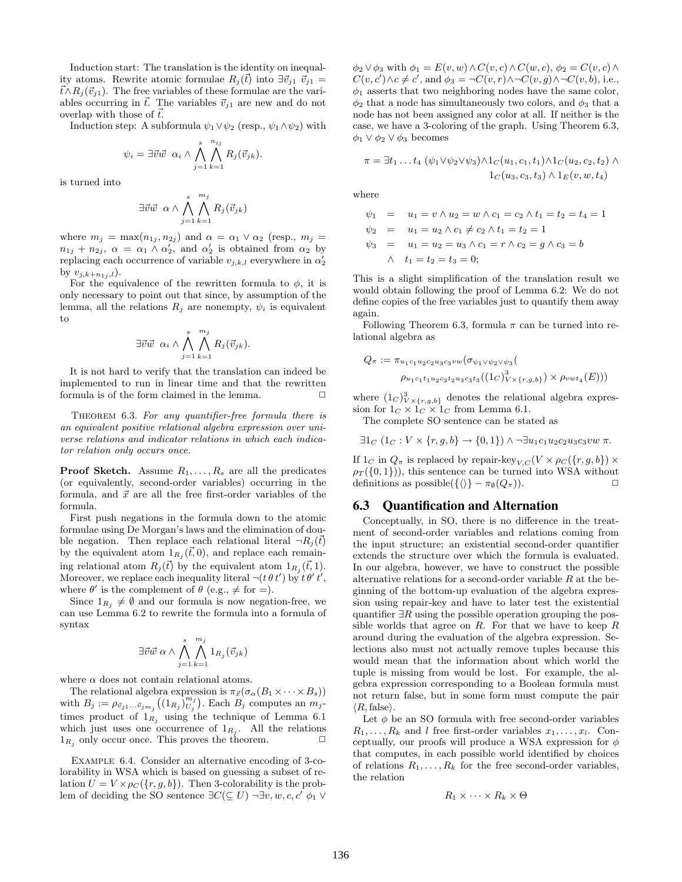Induction start: The translation is the identity on inequality atoms. Rewrite atomic formulae  $R_i(\vec{t})$  into  $\exists \vec{v}_{i1} \ \vec{v}_{i1} =$  $\vec{t} \wedge R_j(\vec{v}_{j1})$ . The free variables of these formulae are the variables occurring in  $\vec{t}$ . The variables  $\vec{v}_{j1}$  are new and do not overlap with those of  $\vec{t}$ .

Induction step: A subformula  $\psi_1 \vee \psi_2$  (resp.,  $\psi_1 \wedge \psi_2$ ) with

$$
\psi_i = \exists \vec{v} \vec{w} \ \alpha_i \wedge \bigwedge_{j=1}^s \bigwedge_{k=1}^{n_{ij}} R_j(\vec{v}_{jk}).
$$

is turned into

$$
\exists \vec{v} \vec{w} \ \alpha \wedge \bigwedge_{j=1}^{s} \bigwedge_{k=1}^{m_j} R_j(\vec{v}_{jk})
$$

where  $m_j = \max(n_{1j}, n_{2j})$  and  $\alpha = \alpha_1 \vee \alpha_2$  (resp.,  $m_j =$  $n_{1j} + n_{2j}, \ \alpha = \alpha_1 \wedge \alpha_2', \text{ and } \alpha_2'$  is obtained from  $\alpha_2$  by replacing each occurrence of variable  $v_{j,k,l}$  everywhere in  $\alpha'_{2}$ by  $v_{j,k+n_{1j},l}$ ).

For the equivalence of the rewritten formula to  $\phi$ , it is only necessary to point out that since, by assumption of the lemma, all the relations  $R_j$  are nonempty,  $\psi_i$  is equivalent to

$$
\exists \vec{v} \vec{w} \ \alpha_i \wedge \bigwedge_{j=1}^s \bigwedge_{k=1}^{m_j} R_j(\vec{v}_{jk}).
$$

It is not hard to verify that the translation can indeed be implemented to run in linear time and that the rewritten formula is of the form claimed in the lemma.  $\Box$ 

THEOREM 6.3. For any quantifier-free formula there is an equivalent positive relational algebra expression over universe relations and indicator relations in which each indicator relation only occurs once.

**Proof Sketch.** Assume  $R_1, \ldots, R_s$  are all the predicates (or equivalently, second-order variables) occurring in the formula, and  $\vec{x}$  are all the free first-order variables of the formula.

First push negations in the formula down to the atomic formulae using De Morgan's laws and the elimination of double negation. Then replace each relational literal  $\neg R_i(\vec{t})$ by the equivalent atom  $1_{R_j}(\vec{t},0)$ , and replace each remaining relational atom  $R_j(\vec{t})$  by the equivalent atom  $1_{R_j}(\vec{t}, 1)$ . Moreover, we replace each inequality literal  $\neg(t \theta t')$  by  $t \theta' t'$ , where  $\theta'$  is the complement of  $\theta$  (e.g.,  $\neq$  for  $=$ ).

Since  $1_{R_i} \neq \emptyset$  and our formula is now negation-free, we can use Lemma 6.2 to rewrite the formula into a formula of syntax

$$
\exists \vec{v} \vec{w} \; \alpha \wedge \bigwedge_{j=1}^{s} \bigwedge_{k=1}^{m_j} 1_{R_j}(\vec{v}_{jk})
$$

where  $\alpha$  does not contain relational atoms.

The relational algebra expression is  $\pi_{\vec{x}}(\sigma_{\alpha}(B_1 \times \cdots \times B_s))$ with  $B_j := \rho_{\vec{v}_{j1}}...\vec{v}_{jm_j}((1_{R_j})_{U_j}^{m_j})$ . Each  $B_j$  computes an  $m_j$ times product of  $1_{R_j}$  using the technique of Lemma 6.1 which just uses one occurrence of  $1_{R_j}$ . All the relations  $1_{R_i}$  only occur once. This proves the theorem.  $\Box$ 

Example 6.4. Consider an alternative encoding of 3-colorability in WSA which is based on guessing a subset of relation  $U = V \times \rho_C({r, g, b})$ . Then 3-colorability is the problem of deciding the SO sentence  $\exists C (\subseteq U) \neg \exists v, w, c, c' \phi_1 \vee$ 

 $\phi_2 \vee \phi_3$  with  $\phi_1 = E(v, w) \wedge C(v, c) \wedge C(w, c), \phi_2 = C(v, c) \wedge C(w, c)$  $C(v, c') \wedge c \neq c'$ , and  $\phi_3 = \neg C(v, r) \wedge \neg C(v, g) \wedge \neg C(v, b)$ , i.e.,  $\phi_1$  asserts that two neighboring nodes have the same color,  $\phi_2$  that a node has simultaneously two colors, and  $\phi_3$  that a node has not been assigned any color at all. If neither is the case, we have a 3-coloring of the graph. Using Theorem 6.3,  $\phi_1 \vee \phi_2 \vee \phi_3$  becomes

$$
\pi = \exists t_1 \dots t_4 \ (\psi_1 \lor \psi_2 \lor \psi_3) \land 1_C(u_1, c_1, t_1) \land 1_C(u_2, c_2, t_2) \land 1_C(u_3, c_3, t_3) \land 1_E(v, w, t_4)
$$

where

$$
\psi_1 = u_1 = v \land u_2 = w \land c_1 = c_2 \land t_1 = t_2 = t_4 = 1
$$
  
\n
$$
\psi_2 = u_1 = u_2 \land c_1 \neq c_2 \land t_1 = t_2 = 1
$$
  
\n
$$
\psi_3 = u_1 = u_2 = u_3 \land c_1 = r \land c_2 = g \land c_3 = b
$$
  
\n
$$
\land \quad t_1 = t_2 = t_3 = 0;
$$

This is a slight simplification of the translation result we would obtain following the proof of Lemma 6.2: We do not define copies of the free variables just to quantify them away again.

Following Theorem 6.3, formula  $\pi$  can be turned into relational algebra as

$$
Q_{\pi} := \pi_{u_1 c_1 u_2 c_2 u_3 c_3 v w} (\sigma_{\psi_1 \vee \psi_2 \vee \psi_3})
$$
  

$$
\rho_{u_1 c_1 t_1 u_2 c_2 t_2 u_3 c_3 t_3} ((1_C)^3_{V \times \{r, g, b\}}) \times \rho_{v w t_4}(E)))
$$

where  $(1_C)^3_{V \times \{r,g,b\}}$  denotes the relational algebra expression for  $1_C \times 1_C \times 1_C$  from Lemma 6.1.

The complete SO sentence can be stated as

$$
\exists 1_C (1_C : V \times \{r, g, b\} \rightarrow \{0, 1\}) \land \neg \exists u_1 c_1 u_2 c_2 u_3 c_3 v w \pi.
$$

If  $1_C$  in  $Q_\pi$  is replaced by repair-key<sub>V,C</sub> $(V \times \rho_C({r, g, b}) \times$  $\rho_T(\{0,1\})$ , this sentence can be turned into WSA without definitions as possible( $\{\langle\rangle\} - \pi_{\emptyset}(Q_{\pi})$ ).

# 6.3 Quantification and Alternation

Conceptually, in SO, there is no difference in the treatment of second-order variables and relations coming from the input structure; an existential second-order quantifier extends the structure over which the formula is evaluated. In our algebra, however, we have to construct the possible alternative relations for a second-order variable  $R$  at the beginning of the bottom-up evaluation of the algebra expression using repair-key and have to later test the existential quantifier  $\exists R$  using the possible operation grouping the possible worlds that agree on  $R$ . For that we have to keep  $R$ around during the evaluation of the algebra expression. Selections also must not actually remove tuples because this would mean that the information about which world the tuple is missing from would be lost. For example, the algebra expression corresponding to a Boolean formula must not return false, but in some form must compute the pair  $\langle R, \text{false} \rangle$ .

Let  $\phi$  be an SO formula with free second-order variables  $R_1, \ldots, R_k$  and l free first-order variables  $x_1, \ldots, x_l$ . Conceptually, our proofs will produce a WSA expression for  $\phi$ that computes, in each possible world identified by choices of relations  $R_1, \ldots, R_k$  for the free second-order variables, the relation

$$
R_1 \times \cdots \times R_k \times \Theta
$$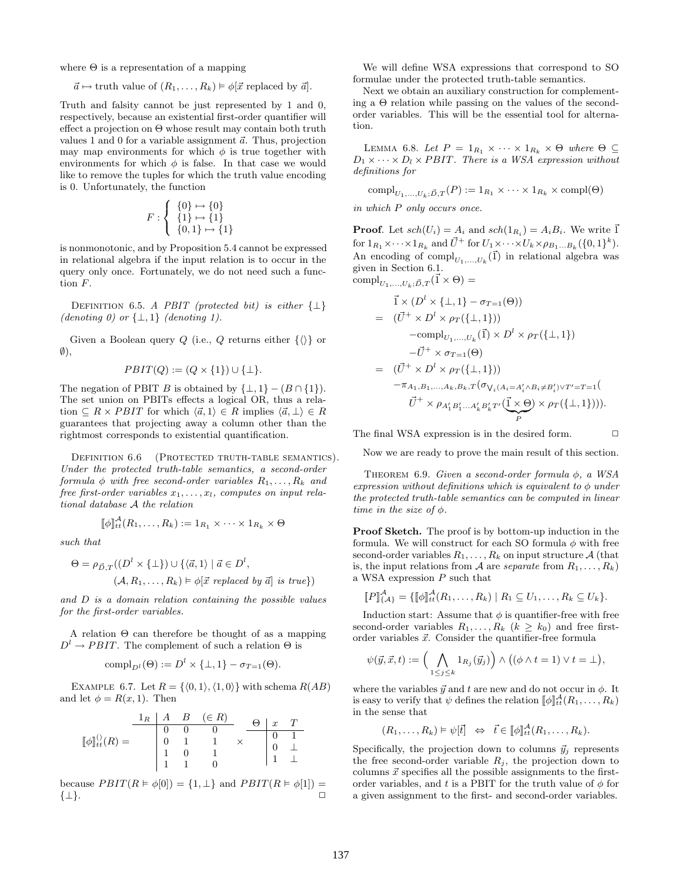where  $\Theta$  is a representation of a mapping

 $\vec{a} \mapsto$  truth value of  $(R_1, \ldots, R_k) \models \phi[\vec{x}]$  replaced by  $\vec{a}$ .

Truth and falsity cannot be just represented by 1 and 0, respectively, because an existential first-order quantifier will effect a projection on Θ whose result may contain both truth values 1 and 0 for a variable assignment  $\vec{a}$ . Thus, projection may map environments for which  $\phi$  is true together with environments for which  $\phi$  is false. In that case we would like to remove the tuples for which the truth value encoding is 0. Unfortunately, the function

$$
F: \left\{ \begin{array}{c} \{0\} \mapsto \{0\} \\ \{1\} \mapsto \{1\} \\ \{0,1\} \mapsto \{1\} \end{array} \right.
$$

is nonmonotonic, and by Proposition 5.4 cannot be expressed in relational algebra if the input relation is to occur in the query only once. Fortunately, we do not need such a function F.

DEFINITION 6.5. A PBIT (protected bit) is either  $\{\perp\}$ (denoting 0) or  $\{\perp,1\}$  (denoting 1).

Given a Boolean query Q (i.e., Q returns either  $\{\langle\rangle\}$  or  $\emptyset$ ),

$$
PBIT(Q) := (Q \times \{1\}) \cup \{\perp\}.
$$

The negation of PBIT B is obtained by  $\{\perp, 1\} - (B \cap \{1\}).$ The set union on PBITs effects a logical OR, thus a relation  $\subseteq R \times PBIT$  for which  $\langle \vec{a}, 1 \rangle \in R$  implies  $\langle \vec{a}, \perp \rangle \in R$ guarantees that projecting away a column other than the rightmost corresponds to existential quantification.

DEFINITION 6.6 (PROTECTED TRUTH-TABLE SEMANTICS). Under the protected truth-table semantics, a second-order formula  $\phi$  with free second-order variables  $R_1, \ldots, R_k$  and free first-order variables  $x_1, \ldots, x_l$ , computes on input relational database A the relation

$$
[\![\phi]\!]_{tt}^{\mathcal{A}}(R_1,\ldots,R_k):=1_{R_1}\times\cdots\times1_{R_k}\times\Theta
$$

such that

$$
\Theta = \rho_{\vec{D},T}((D^l \times \{\bot\}) \cup \{\langle \vec{a}, 1 \rangle \mid \vec{a} \in D^l, (A, R_1, \dots, R_k) \models \phi[\vec{x} \text{ replaced by } \vec{a}] \text{ is true}\})
$$

and D is a domain relation containing the possible values for the first-order variables.

A relation Θ can therefore be thought of as a mapping  $D^l \to PBIT$ . The complement of such a relation  $\Theta$  is

$$
\mathrm{compl}_{D^l}(\Theta) := D^l \times \{\perp, 1\} - \sigma_{T=1}(\Theta).
$$

EXAMPLE 6.7. Let  $R = \{ (0, 1), (1, 0) \}$  with schema  $R(AB)$ and let  $\phi = R(x, 1)$ . Then

$$
[\![\phi]\!]_{tt}^{()}(R) = \begin{array}{c|cccc} 1_R & A & B & (\in R) & & & \\ \hline 0 & 0 & 0 & & & & \\ 0 & 1 & 1 & & & & \\ 1 & 0 & 1 & & & & \\ 1 & 1 & 0 & & & & 1 \end{array} \times \begin{array}{c|cccc} \Theta & x & T & & & \\ \hline 0 & 1 & & & & \\ 0 & 1 & & & & \\ 1 & 1 & 0 & & & \end{array}
$$

because  $PBIT(R \models \phi[0]) = \{1, \perp\}$  and  $PBIT(R \models \phi[1]) =$  $\{\perp\}.$ 

We will define WSA expressions that correspond to SO formulae under the protected truth-table semantics.

Next we obtain an auxiliary construction for complementing a Θ relation while passing on the values of the secondorder variables. This will be the essential tool for alternation.

LEMMA 6.8. Let  $P = 1_{R_1} \times \cdots \times 1_{R_k} \times \Theta$  where  $\Theta \subseteq$  $D_1 \times \cdots \times D_l \times PBIT$ . There is a WSA expression without definitions for

$$
\text{compl}_{U_1,\ldots,U_k;\vec{D},T}(P) := 1_{R_1} \times \cdots \times 1_{R_k} \times \text{compl}(\Theta)
$$

in which P only occurs once.

**Proof.** Let  $sch(U_i) = A_i$  and  $sch(1_{R_i}) = A_i B_i$ . We write  $\vec{1}$ for  $1_{R_1} \times \cdots \times 1_{R_k}$  and  $\vec{U}^+$  for  $U_1 \times \cdots \times U_k \times \rho_{B_1...B_k} (\{0,1\}^k)$ . An encoding of  $\text{compl}_{U_1,...,U_k}(\vec{1})$  in relational algebra was given in Section 6.1.  $\label{eq:comp} \text{compl}_{U_1,...,U_k;\vec{D},T}(\vec{1}\times \Theta) =$ 

$$
\vec{l} \times (D^l \times \{\bot, 1\} - \sigma_{T=1}(\Theta))
$$
\n
$$
= (\vec{U}^+ \times D^l \times \rho_T(\{\bot, 1\}))
$$
\n
$$
-{\rm compl}_{U_1, \dots, U_k}(\vec{1}) \times D^l \times \rho_T(\{\bot, 1\})
$$
\n
$$
-\vec{U}^+ \times \sigma_{T=1}(\Theta)
$$
\n
$$
= (\vec{U}^+ \times D^l \times \rho_T(\{\bot, 1\}))
$$
\n
$$
-\pi_{A_1, B_1, \dots, A_k, B_k, T}(\sigma_{V_i(A_i = A'_i \land B_i \neq B'_i) \lor T' = T=1}(\vec{U}^+ \times \rho_{A'_1 B'_1 \dots A'_k B'_k T'}(\vec{1} \times \Theta) \times \rho_T(\{\bot, 1\}))).
$$

The final WSA expression is in the desired form.  $\Box$ 

Now we are ready to prove the main result of this section.

THEOREM 6.9. Given a second-order formula  $\phi$ , a WSA expression without definitions which is equivalent to  $\phi$  under the protected truth-table semantics can be computed in linear time in the size of  $\phi$ .

Proof Sketch. The proof is by bottom-up induction in the formula. We will construct for each SO formula  $\phi$  with free second-order variables  $R_1, \ldots, R_k$  on input structure A (that is, the input relations from A are *separate* from  $R_1, \ldots, R_k$ ) a WSA expression P such that

$$
[P]_{\{A\}}^{\mathcal{A}} = \{ [\![\phi]\!]_{\mathcal{H}}^{\mathcal{A}}(R_1,\ldots,R_k) \mid R_1 \subseteq U_1,\ldots,R_k \subseteq U_k \}.
$$

Induction start: Assume that  $\phi$  is quantifier-free with free second-order variables  $R_1, \ldots, R_k$   $(k \geq k_0)$  and free firstorder variables  $\vec{x}$ . Consider the quantifier-free formula

$$
\psi(\vec{y},\vec{x},t) := \left(\bigwedge_{1 \leq j \leq k} 1_{R_j}(\vec{y}_j)\right) \wedge \big((\phi \wedge t = 1) \vee t = \bot\big),
$$

where the variables  $\vec{y}$  and t are new and do not occur in  $\phi$ . It is easy to verify that  $\psi$  defines the relation  $[\![\phi]\!]_{tt}^{\mathcal{A}}(R_1,\ldots,R_k)$ in the sense that

$$
(R_1,\ldots,R_k)\vDash\psi[\vec{t}]\Leftrightarrow\vec{t}\in[\![\phi]\!]_{tt}^{\mathcal{A}}(R_1,\ldots,R_k).
$$

Specifically, the projection down to columns  $\vec{y}_j$  represents the free second-order variable  $R_i$ , the projection down to columns  $\vec{x}$  specifies all the possible assignments to the firstorder variables, and t is a PBIT for the truth value of  $\phi$  for a given assignment to the first- and second-order variables.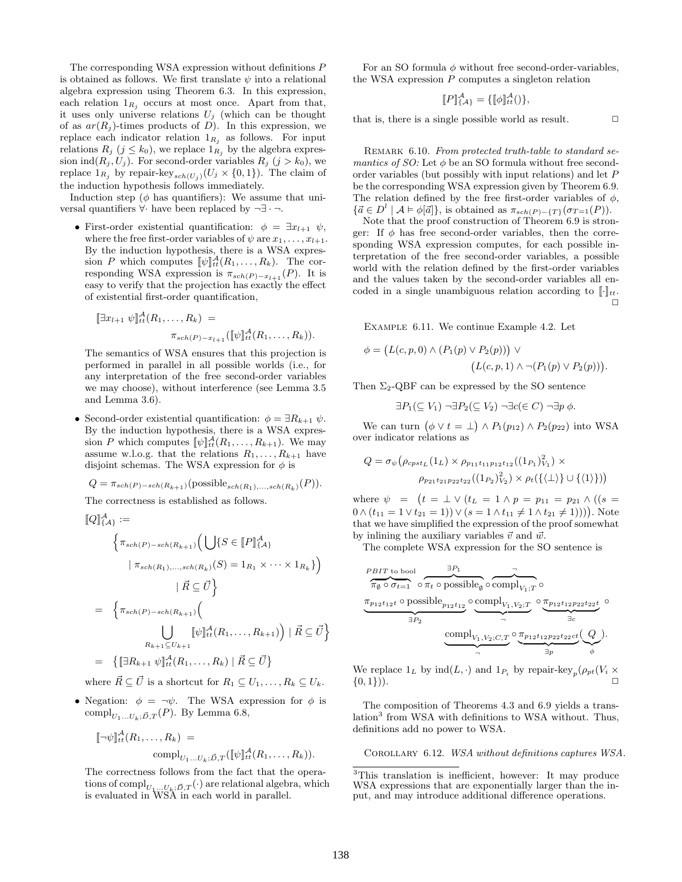The corresponding WSA expression without definitions P is obtained as follows. We first translate  $\psi$  into a relational algebra expression using Theorem 6.3. In this expression, each relation  $1_{R_i}$  occurs at most once. Apart from that, it uses only universe relations  $U_j$  (which can be thought of as  $ar(R_i)$ -times products of D). In this expression, we replace each indicator relation  $1_{R_j}$  as follows. For input relations  $R_j$   $(j \leq k_0)$ , we replace  $1_{R_j}$  by the algebra expression ind $(R_j, U_j)$ . For second-order variables  $R_j$   $(j > k_0)$ , we replace  $1_{R_j}$  by repair-key<sub>sch(U<sub>j</sub>)</sub>( $U_j \times \{0,1\}$ ). The claim of the induction hypothesis follows immediately.

Induction step ( $\phi$  has quantifiers): We assume that universal quantifiers  $\forall$  have been replaced by  $\neg \exists \neg \neg$ .

• First-order existential quantification:  $\phi = \exists x_{l+1} \ \psi$ , where the free first-order variables of  $\psi$  are  $x_1, \ldots, x_{l+1}$ . By the induction hypothesis, there is a WSA expression P which computes  $[\![\psi]\!]_t^{\mathcal{A}}(R_1,\ldots,R_k)$ . The corresponding WSA expression is  $\pi_{sch(P)-x_{l+1}}(P)$ . It is easy to verify that the projection has exactly the effect of existential first-order quantification,

$$
\llbracket \exists x_{l+1} \; \psi \rrbracket_{tt}^A(R_1, \ldots, R_k) =
$$

$$
\pi_{sch(P) - x_{l+1}}([\![\psi]\!]_{tt}^A(R_1, \ldots, R_k)).
$$

The semantics of WSA ensures that this projection is performed in parallel in all possible worlds (i.e., for any interpretation of the free second-order variables we may choose), without interference (see Lemma 3.5 and Lemma 3.6).

• Second-order existential quantification:  $\phi = \exists R_{k+1} \psi$ . By the induction hypothesis, there is a WSA expression P which computes  $[\![\psi]\!]_{tt}^{\mathcal{A}}(R_1,\ldots,R_{k+1})$ . We may assume w.l.o.g. that the relations  $R_1, \ldots, R_{k+1}$  have disjoint schemas. The WSA expression for  $\phi$  is

$$
Q = \pi_{sch(P)-sch(R_{k+1})}(\text{possible}_{sch(R_1),...,sch(R_k)}(P)).
$$

The correctness is established as follows.

$$
\begin{aligned}\n\llbracket Q \rrbracket_{\{A\}}^{\mathcal{A}} &:= \\
& \left\{ \pi_{sch(P) - sch(R_{k+1})} \Big( \bigcup \{ S \in [P]_{\{A\}}^{\mathcal{A}} \\
& \mid \pi_{sch(R_1), \dots, sch(R_k)}(S) = 1_{R_1} \times \dots \times 1_{R_k} \} \Big) \right. \\
& \left. \qquad \qquad + \vec{R} \subseteq \vec{U} \right\} \\
&= \left\{ \pi_{sch(P) - sch(R_{k+1})} \left( \bigcup_{R_{k+1} \subseteq U_{k+1}} \llbracket \psi \rrbracket_{tt}^{\mathcal{A}}(R_1, \dots, R_{k+1}) \right) \mid \vec{R} \subseteq \vec{U} \right\} \\
&= \left\{ \llbracket \exists R_{k+1} \psi \rrbracket_{tt}^{\mathcal{A}}(R_1, \dots, R_k) \mid \vec{R} \subseteq \vec{U} \right\} \\
&= \vec{A} \quad \vec{A} \quad \vec{A} \quad \vec{A} \quad \vec{A} \quad \vec{A} \quad \vec{A} \quad \vec{A} \quad \vec{A} \quad \vec{A} \quad \vec{A} \quad \vec{A} \quad \vec{A} \quad \vec{A} \quad \vec{A} \quad \vec{A} \quad \vec{A} \quad \vec{A} \quad \vec{A} \quad \vec{A} \quad \vec{A} \quad \vec{A} \quad \vec{A} \quad \vec{A} \quad \vec{A} \quad \vec{A} \quad \vec{A} \quad \vec{A} \quad \vec{A} \quad \vec{A} \quad \vec{A} \quad \vec{A} \quad \vec{A} \quad \vec{A} \quad \vec{A} \quad \vec{A} \quad \vec{A} \quad \vec{A} \quad \vec{A} \quad \vec{A} \quad \vec{A} \quad \vec{A} \quad \vec{A} \quad \vec{A} \quad \vec{A} \quad \vec{A} \quad \vec{A} \quad \vec{A} \quad \vec{A} \quad \vec{A} \quad \vec{A} \quad \vec{A} \quad \vec{A} \quad \vec{A} \quad \vec{A} \quad \vec{A} \quad \vec{A} \quad \vec{A} \quad \vec{A} \quad \vec{A} \quad \vec{A} \quad \vec{A
$$

where  $\vec{R} \subseteq \vec{U}$  is a shortcut for  $R_1 \subseteq U_1, \ldots, R_k \subseteq U_k$ .

• Negation:  $\phi = \neg \psi$ . The WSA expression for  $\phi$  is compl<sub>U1</sub>...U<sub>k</sub>; $\vec{D}, T$  (P). By Lemma 6.8,

$$
\llbracket \neg \psi \rrbracket_{tt}^{\mathcal{A}}(R_1, \dots, R_k) =
$$

$$
\text{compl}_{U_1 \dots U_k; \vec{D}, T}(\llbracket \psi \rrbracket_{tt}^{\mathcal{A}}(R_1, \dots, R_k)).
$$

The correctness follows from the fact that the operations of  $\text{compl}_{U_1...U_k;\vec{D},T}(\cdot)$  are relational algebra, which is evaluated in WSA in each world in parallel.

For an SO formula  $\phi$  without free second-order-variables, the WSA expression  $P$  computes a singleton relation

$$
[\![P]\!]_{\{A\}}^{\mathcal{A}} = {\{[\![\phi]\!]_{tt}^{\mathcal{A}}}(.)\},
$$

that is, there is a single possible world as result.  $\Box$ 

REMARK 6.10. From protected truth-table to standard semantics of SO: Let  $\phi$  be an SO formula without free secondorder variables (but possibly with input relations) and let P be the corresponding WSA expression given by Theorem 6.9. The relation defined by the free first-order variables of  $\phi$ ,  $\{\vec{a} \in D^l \mid A \models \phi[\vec{a}]\},\$ is obtained as  $\pi_{sch(P)-\{T\}}(\sigma_{T=1}(P)).$ 

Note that the proof construction of Theorem 6.9 is stronger: If  $\phi$  has free second-order variables, then the corresponding WSA expression computes, for each possible interpretation of the free second-order variables, a possible world with the relation defined by the first-order variables and the values taken by the second-order variables all encoded in a single unambiguous relation according to  $\lbrack \cdot \rbrack_{tt}$ .  $\Box$ 

Example 6.11. We continue Example 4.2. Let

$$
\phi = (L(c, p, 0) \land (P_1(p) \lor P_2(p))) \lor (L(c, p, 1) \land \neg (P_1(p) \lor P_2(p))).
$$

Then  $\Sigma_2$ -QBF can be expressed by the SO sentence

 $\exists P_1(\subseteq V_1) \neg \exists P_2(\subseteq V_2) \neg \exists c (\in C) \neg \exists p \phi$ .

We can turn  $(\phi \vee t = \perp) \wedge P_1(p_{12}) \wedge P_2(p_{22})$  into WSA over indicator relations as

$$
Q = \sigma_{\psi} \left( \rho_{cpst_L} (1_L) \times \rho_{p_{11}t_{11}p_{12}t_{12}} ((1_{P_1})_{V_1}^2) \times \rho_{p_{21}t_{21}p_{22}t_{22}} ((1_{P_2})_{V_2}^2) \times \rho_t (\{\langle \bot \rangle\} \cup \{\langle 1 \rangle\}) \right)
$$

where  $\psi = (t = \perp \vee (t_{L} = 1 \wedge p = p_{11} = p_{21} \wedge ((s =$  $0 \wedge (t_{11} = 1 \vee t_{21} = 1)) \vee (s = 1 \wedge t_{11} \neq 1 \wedge t_{21} \neq 1)))$ . Note that we have simplified the expression of the proof somewhat by inlining the auxiliary variables  $\vec{v}$  and  $\vec{w}$ .

The complete WSA expression for the SO sentence is

$$
\underbrace{\pi_{\emptyset} \circ \sigma_{t=1}}_{\exists P_2} \circ \underbrace{\pi_t \circ \text{possible}_{\emptyset} \circ \text{compl}_{V_1; T}}_{\exists P_2} \circ \underbrace{\text{compl}_{V_1, V_2; T}}_{\neg} \circ \underbrace{\sigma_{p_{12}t_{12}p_{22}t_{22}t}}_{\exists c} \circ \underbrace{\sigma_{p_{12}t_{12}p_{22}t_{22}t}}_{\exists c} \circ
$$

We replace  $1_L$  by  $\text{ind}(L, \cdot)$  and  $1_{P_i}$  by repair-key<sub>p</sub> $(\rho_{pt}(V_i \times$  $\{0,1\})$ ).

The composition of Theorems 4.3 and 6.9 yields a translation<sup>3</sup> from WSA with definitions to WSA without. Thus, definitions add no power to WSA.

Corollary 6.12. WSA without definitions captures WSA.

<sup>3</sup>This translation is inefficient, however: It may produce WSA expressions that are exponentially larger than the input, and may introduce additional difference operations.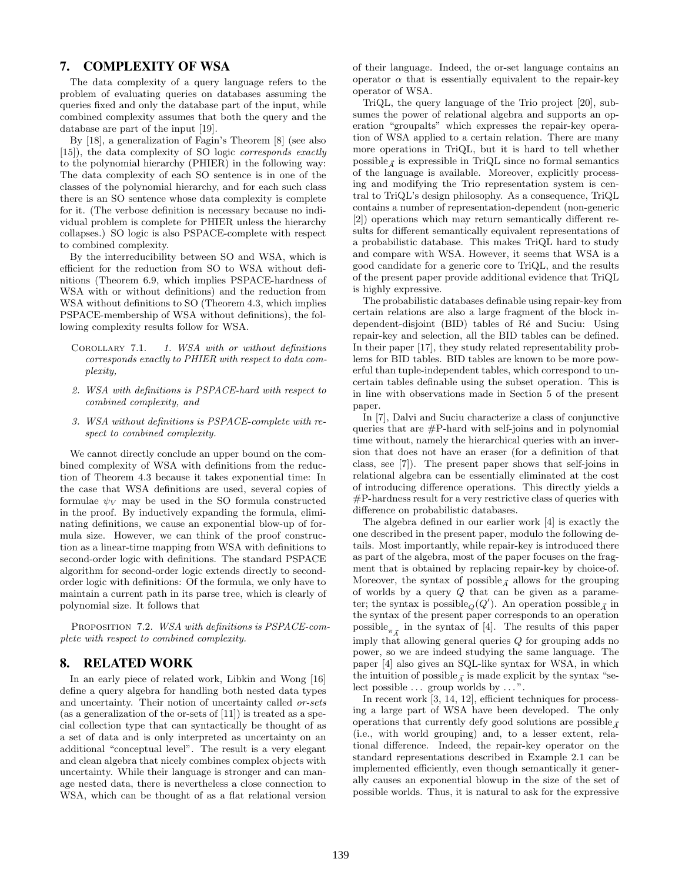# 7. COMPLEXITY OF WSA

The data complexity of a query language refers to the problem of evaluating queries on databases assuming the queries fixed and only the database part of the input, while combined complexity assumes that both the query and the database are part of the input [19].

By [18], a generalization of Fagin's Theorem [8] (see also [15]), the data complexity of SO logic corresponds exactly to the polynomial hierarchy (PHIER) in the following way: The data complexity of each SO sentence is in one of the classes of the polynomial hierarchy, and for each such class there is an SO sentence whose data complexity is complete for it. (The verbose definition is necessary because no individual problem is complete for PHIER unless the hierarchy collapses.) SO logic is also PSPACE-complete with respect to combined complexity.

By the interreducibility between SO and WSA, which is efficient for the reduction from SO to WSA without definitions (Theorem 6.9, which implies PSPACE-hardness of WSA with or without definitions) and the reduction from WSA without definitions to SO (Theorem 4.3, which implies PSPACE-membership of WSA without definitions), the following complexity results follow for WSA.

- COROLLARY 7.1. 1. WSA with or without definitions corresponds exactly to PHIER with respect to data complexity,
- 2. WSA with definitions is PSPACE-hard with respect to combined complexity, and
- 3. WSA without definitions is PSPACE-complete with respect to combined complexity.

We cannot directly conclude an upper bound on the combined complexity of WSA with definitions from the reduction of Theorem 4.3 because it takes exponential time: In the case that WSA definitions are used, several copies of formulae  $\psi_V$  may be used in the SO formula constructed in the proof. By inductively expanding the formula, eliminating definitions, we cause an exponential blow-up of formula size. However, we can think of the proof construction as a linear-time mapping from WSA with definitions to second-order logic with definitions. The standard PSPACE algorithm for second-order logic extends directly to secondorder logic with definitions: Of the formula, we only have to maintain a current path in its parse tree, which is clearly of polynomial size. It follows that

PROPOSITION 7.2. WSA with definitions is PSPACE-complete with respect to combined complexity.

### 8. RELATED WORK

In an early piece of related work, Libkin and Wong [16] define a query algebra for handling both nested data types and uncertainty. Their notion of uncertainty called or-sets (as a generalization of the or-sets of [11]) is treated as a special collection type that can syntactically be thought of as a set of data and is only interpreted as uncertainty on an additional "conceptual level". The result is a very elegant and clean algebra that nicely combines complex objects with uncertainty. While their language is stronger and can manage nested data, there is nevertheless a close connection to WSA, which can be thought of as a flat relational version

of their language. Indeed, the or-set language contains an operator  $\alpha$  that is essentially equivalent to the repair-key operator of WSA.

TriQL, the query language of the Trio project [20], subsumes the power of relational algebra and supports an operation "groupalts" which expresses the repair-key operation of WSA applied to a certain relation. There are many more operations in TriQL, but it is hard to tell whether possible  $\vec{A}$  is expressible in TriQL since no formal semantics of the language is available. Moreover, explicitly processing and modifying the Trio representation system is central to TriQL's design philosophy. As a consequence, TriQL contains a number of representation-dependent (non-generic [2]) operations which may return semantically different results for different semantically equivalent representations of a probabilistic database. This makes TriQL hard to study and compare with WSA. However, it seems that WSA is a good candidate for a generic core to TriQL, and the results of the present paper provide additional evidence that TriQL is highly expressive.

The probabilistic databases definable using repair-key from certain relations are also a large fragment of the block independent-disjoint (BID) tables of Ré and Suciu: Using repair-key and selection, all the BID tables can be defined. In their paper [17], they study related representability problems for BID tables. BID tables are known to be more powerful than tuple-independent tables, which correspond to uncertain tables definable using the subset operation. This is in line with observations made in Section 5 of the present paper.

In [7], Dalvi and Suciu characterize a class of conjunctive queries that are  $#P$ -hard with self-joins and in polynomial time without, namely the hierarchical queries with an inversion that does not have an eraser (for a definition of that class, see [7]). The present paper shows that self-joins in relational algebra can be essentially eliminated at the cost of introducing difference operations. This directly yields a #P-hardness result for a very restrictive class of queries with difference on probabilistic databases.

The algebra defined in our earlier work [4] is exactly the one described in the present paper, modulo the following details. Most importantly, while repair-key is introduced there as part of the algebra, most of the paper focuses on the fragment that is obtained by replacing repair-key by choice-of. Moreover, the syntax of possible<sub> $\vec{A}$ </sub> allows for the grouping of worlds by a query Q that can be given as a parameter; the syntax is  $\mathrm{possible}_Q(Q').$  An operation  $\mathrm{possible}_{\vec{A}}$  in the syntax of the present paper corresponds to an operation  $\text{possible}_{\pi_{\vec{A}}}$  in the syntax of [4]. The results of this paper imply that allowing general queries Q for grouping adds no power, so we are indeed studying the same language. The paper [4] also gives an SQL-like syntax for WSA, in which the intuition of possible  $\vec{A}$  is made explicit by the syntax "select possible  $\dots$  group worlds by  $\dots$ ".

In recent work [3, 14, 12], efficient techniques for processing a large part of WSA have been developed. The only operations that currently defy good solutions are possible  $\vec{A}$ (i.e., with world grouping) and, to a lesser extent, relational difference. Indeed, the repair-key operator on the standard representations described in Example 2.1 can be implemented efficiently, even though semantically it generally causes an exponential blowup in the size of the set of possible worlds. Thus, it is natural to ask for the expressive